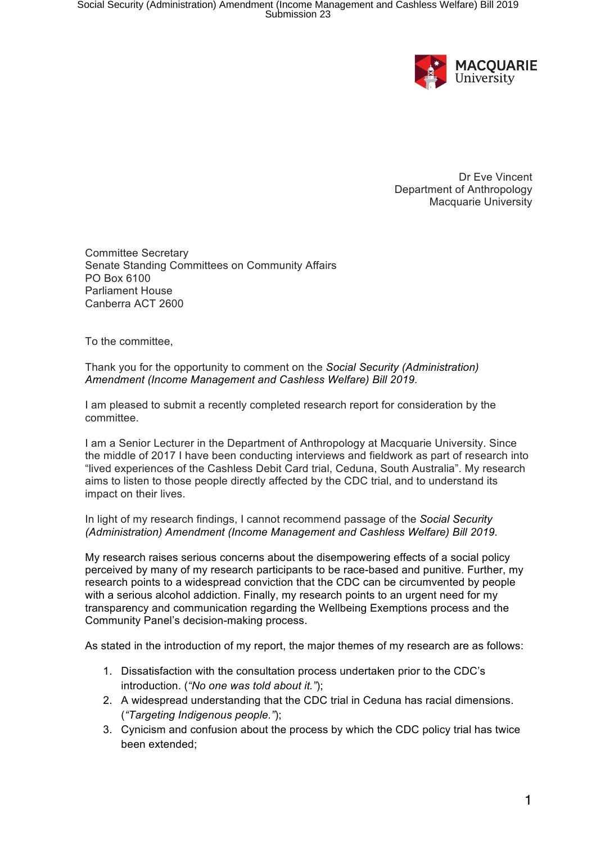

Dr Eve Vincent Department of Anthropology Macquarie University

Committee Secretary Senate Standing Committees on Community Affairs PO Box 6100 Parliament House Canberra ACT 2600

To the committee,

Thank you for the opportunity to comment on the *Social Security (Administration) Amendment (Income Management and Cashless Welfare) Bill 2019.*

I am pleased to submit a recently completed research report for consideration by the committee.

I am a Senior Lecturer in the Department of Anthropology at Macquarie University. Since the middle of 2017 I have been conducting interviews and fieldwork as part of research into "lived experiences of the Cashless Debit Card trial, Ceduna, South Australia". My research aims to listen to those people directly affected by the CDC trial, and to understand its impact on their lives.

In light of my research findings, I cannot recommend passage of the *Social Security (Administration) Amendment (Income Management and Cashless Welfare) Bill 2019.*

My research raises serious concerns about the disempowering effects of a social policy perceived by many of my research participants to be race-based and punitive. Further, my research points to a widespread conviction that the CDC can be circumvented by people with a serious alcohol addiction. Finally, my research points to an urgent need for my transparency and communication regarding the Wellbeing Exemptions process and the Community Panel's decision-making process.

As stated in the introduction of my report, the major themes of my research are as follows:

- 1. Dissatisfaction with the consultation process undertaken prior to the CDC's introduction. (*"No one was told about it."*);
- 2. A widespread understanding that the CDC trial in Ceduna has racial dimensions. (*"Targeting Indigenous people."*);
- 3. Cynicism and confusion about the process by which the CDC policy trial has twice been extended;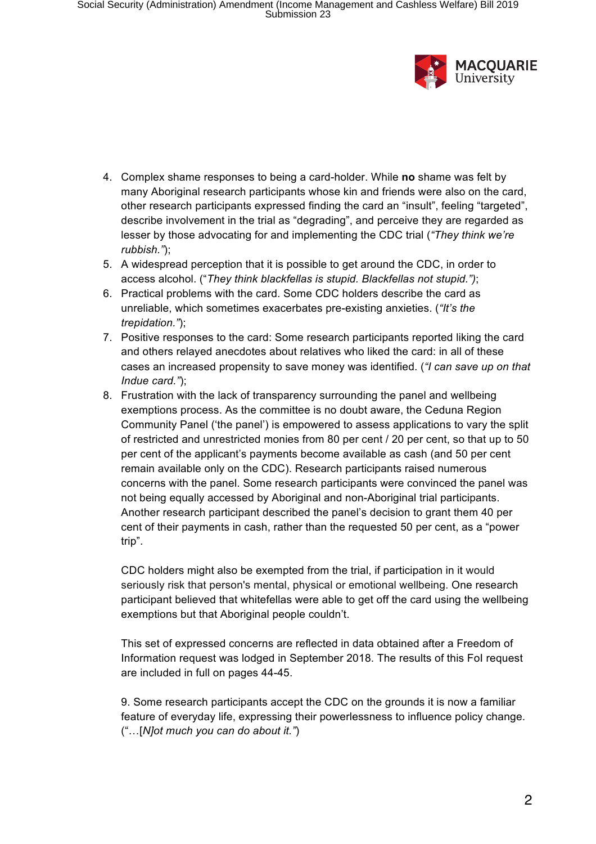

- 4. Complex shame responses to being a card-holder. While **no** shame was felt by many Aboriginal research participants whose kin and friends were also on the card, other research participants expressed finding the card an "insult", feeling "targeted", describe involvement in the trial as "degrading", and perceive they are regarded as lesser by those advocating for and implementing the CDC trial (*"They think we're rubbish."*);
- 5. A widespread perception that it is possible to get around the CDC, in order to access alcohol. ("*They think blackfellas is stupid. Blackfellas not stupid.")*;
- 6. Practical problems with the card. Some CDC holders describe the card as unreliable, which sometimes exacerbates pre-existing anxieties. (*"It's the trepidation."*);
- 7. Positive responses to the card: Some research participants reported liking the card and others relayed anecdotes about relatives who liked the card: in all of these cases an increased propensity to save money was identified. (*"I can save up on that Indue card."*);
- 8. Frustration with the lack of transparency surrounding the panel and wellbeing exemptions process. As the committee is no doubt aware, the Ceduna Region Community Panel ('the panel') is empowered to assess applications to vary the split of restricted and unrestricted monies from 80 per cent / 20 per cent, so that up to 50 per cent of the applicant's payments become available as cash (and 50 per cent remain available only on the CDC). Research participants raised numerous concerns with the panel. Some research participants were convinced the panel was not being equally accessed by Aboriginal and non-Aboriginal trial participants. Another research participant described the panel's decision to grant them 40 per cent of their payments in cash, rather than the requested 50 per cent, as a "power trip".

CDC holders might also be exempted from the trial, if participation in it would seriously risk that person's mental, physical or emotional wellbeing. One research participant believed that whitefellas were able to get off the card using the wellbeing exemptions but that Aboriginal people couldn't.

This set of expressed concerns are reflected in data obtained after a Freedom of Information request was lodged in September 2018. The results of this FoI request are included in full on pages 44-45.

9. Some research participants accept the CDC on the grounds it is now a familiar feature of everyday life, expressing their powerlessness to influence policy change. ("…[*N]ot much you can do about it."*)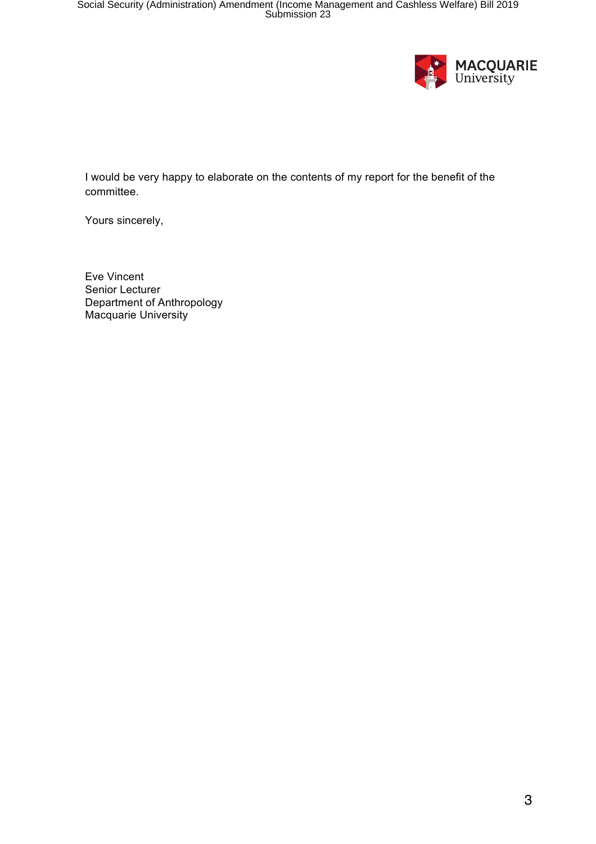

I would be very happy to elaborate on the contents of my report for the benefit of the committee.

Yours sincerely,

Eve Vincent Senior Lecturer Department of Anthropology Macquarie University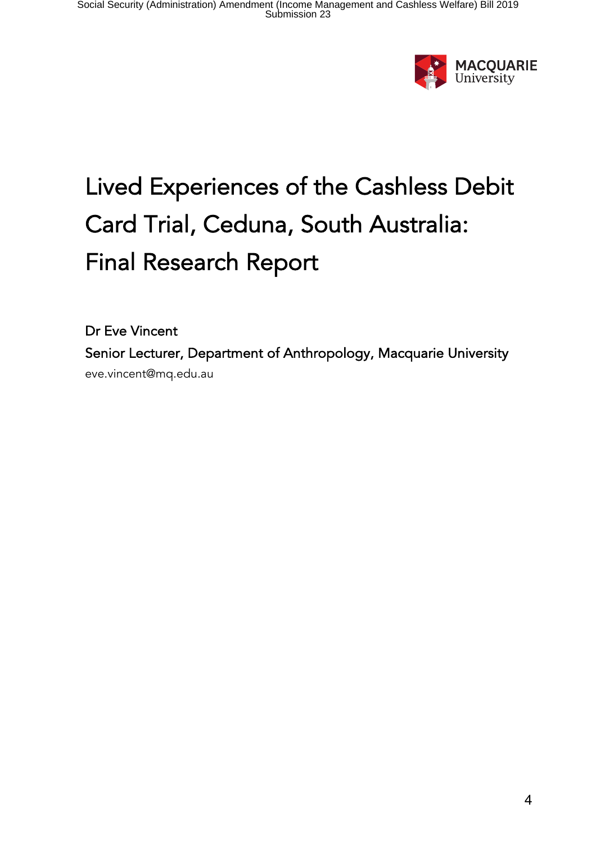

# Lived Experiences of the Cashless Debit Card Trial, Ceduna, South Australia: Final Research Report

Dr Eve Vincent Senior Lecturer, Department of Anthropology, Macquarie University eve.vincent@mq.edu.au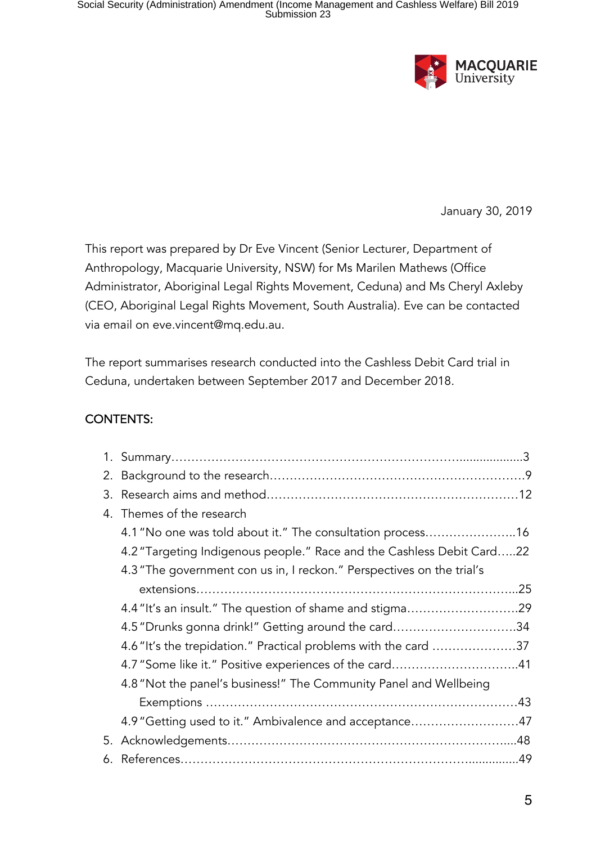

January 30, 2019

This report was prepared by Dr Eve Vincent (Senior Lecturer, Department of Anthropology, Macquarie University, NSW) for Ms Marilen Mathews (Office Administrator, Aboriginal Legal Rights Movement, Ceduna) and Ms Cheryl Axleby (CEO, Aboriginal Legal Rights Movement, South Australia). Eve can be contacted via email on eve.vincent@mq.edu.au.

The report summarises research conducted into the Cashless Debit Card trial in Ceduna, undertaken between September 2017 and December 2018.

#### CONTENTS:

| 3. |                                                                       |  |
|----|-----------------------------------------------------------------------|--|
|    | 4. Themes of the research                                             |  |
|    | 4.1 "No one was told about it." The consultation process16            |  |
|    | 4.2 "Targeting Indigenous people." Race and the Cashless Debit Card22 |  |
|    | 4.3 "The government con us in, I reckon." Perspectives on the trial's |  |
|    |                                                                       |  |
|    |                                                                       |  |
|    | 4.5 "Drunks gonna drink!" Getting around the card34                   |  |
|    | 4.6 "It's the trepidation." Practical problems with the card 37       |  |
|    | 4.7 "Some like it." Positive experiences of the card41                |  |
|    | 4.8 "Not the panel's business!" The Community Panel and Wellbeing     |  |
|    |                                                                       |  |
|    | 4.9 "Getting used to it." Ambivalence and acceptance47                |  |
| 5. |                                                                       |  |
| 6. |                                                                       |  |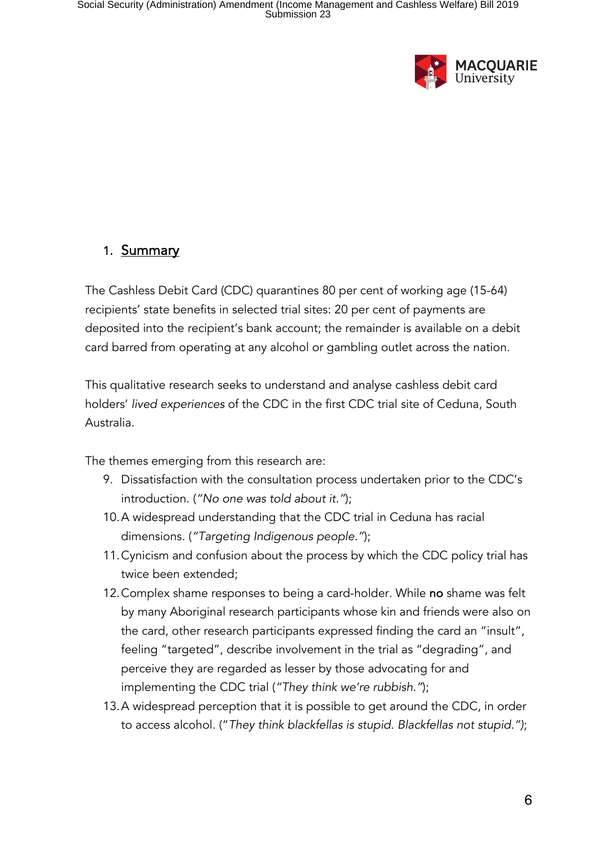

# 1. Summary

The Cashless Debit Card (CDC) quarantines 80 per cent of working age (15-64) recipients' state benefits in selected trial sites: 20 per cent of payments are deposited into the recipient's bank account; the remainder is available on a debit card barred from operating at any alcohol or gambling outlet across the nation.

This qualitative research seeks to understand and analyse cashless debit card holders' *lived experiences* of the CDC in the first CDC trial site of Ceduna, South Australia.

The themes emerging from this research are:

- 9. Dissatisfaction with the consultation process undertaken prior to the CDC's introduction. (*"No one was told about it."*);
- 10.A widespread understanding that the CDC trial in Ceduna has racial dimensions. (*"Targeting Indigenous people."*);
- 11.Cynicism and confusion about the process by which the CDC policy trial has twice been extended;
- 12. Complex shame responses to being a card-holder. While no shame was felt by many Aboriginal research participants whose kin and friends were also on the card, other research participants expressed finding the card an "insult", feeling "targeted", describe involvement in the trial as "degrading", and perceive they are regarded as lesser by those advocating for and implementing the CDC trial (*"They think we're rubbish."*);
- 13.A widespread perception that it is possible to get around the CDC, in order to access alcohol. ("*They think blackfellas is stupid. Blackfellas not stupid.")*;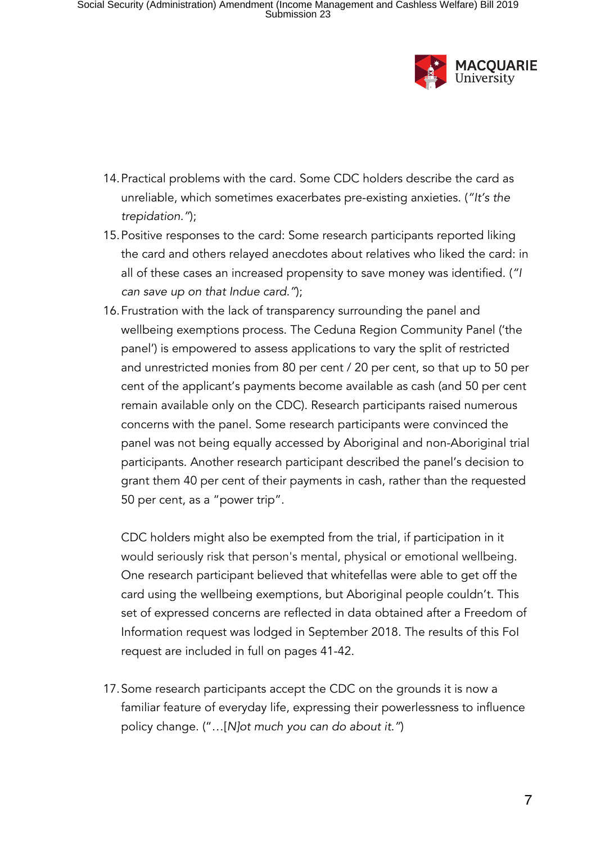

- 14.Practical problems with the card. Some CDC holders describe the card as unreliable, which sometimes exacerbates pre-existing anxieties. (*"It's the trepidation."*);
- 15.Positive responses to the card: Some research participants reported liking the card and others relayed anecdotes about relatives who liked the card: in all of these cases an increased propensity to save money was identified. (*"I can save up on that Indue card."*);
- 16.Frustration with the lack of transparency surrounding the panel and wellbeing exemptions process. The Ceduna Region Community Panel ('the panel') is empowered to assess applications to vary the split of restricted and unrestricted monies from 80 per cent / 20 per cent, so that up to 50 per cent of the applicant's payments become available as cash (and 50 per cent remain available only on the CDC). Research participants raised numerous concerns with the panel. Some research participants were convinced the panel was not being equally accessed by Aboriginal and non-Aboriginal trial participants. Another research participant described the panel's decision to grant them 40 per cent of their payments in cash, rather than the requested 50 per cent, as a "power trip".

CDC holders might also be exempted from the trial, if participation in it would seriously risk that person's mental, physical or emotional wellbeing. One research participant believed that whitefellas were able to get off the card using the wellbeing exemptions, but Aboriginal people couldn't. This set of expressed concerns are reflected in data obtained after a Freedom of Information request was lodged in September 2018. The results of this FoI request are included in full on pages 41-42.

17.Some research participants accept the CDC on the grounds it is now a familiar feature of everyday life, expressing their powerlessness to influence policy change. ("…[*N]ot much you can do about it."*)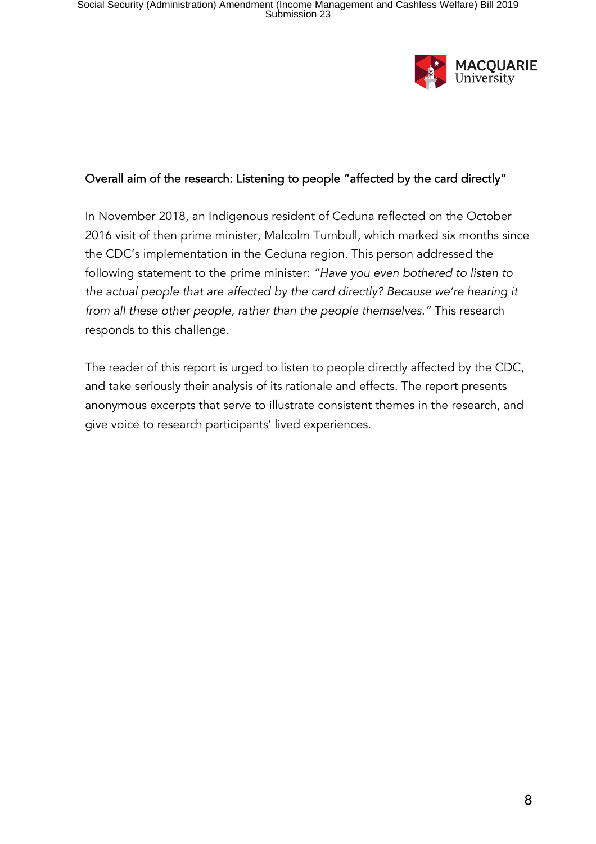

#### Overall aim of the research: Listening to people "affected by the card directly"

In November 2018, an Indigenous resident of Ceduna reflected on the October 2016 visit of then prime minister, Malcolm Turnbull, which marked six months since the CDC's implementation in the Ceduna region. This person addressed the following statement to the prime minister: *"Have you even bothered to listen to the actual people that are affected by the card directly? Because we're hearing it from all these other people, rather than the people themselves."* This research responds to this challenge.

The reader of this report is urged to listen to people directly affected by the CDC, and take seriously their analysis of its rationale and effects. The report presents anonymous excerpts that serve to illustrate consistent themes in the research, and give voice to research participants' lived experiences.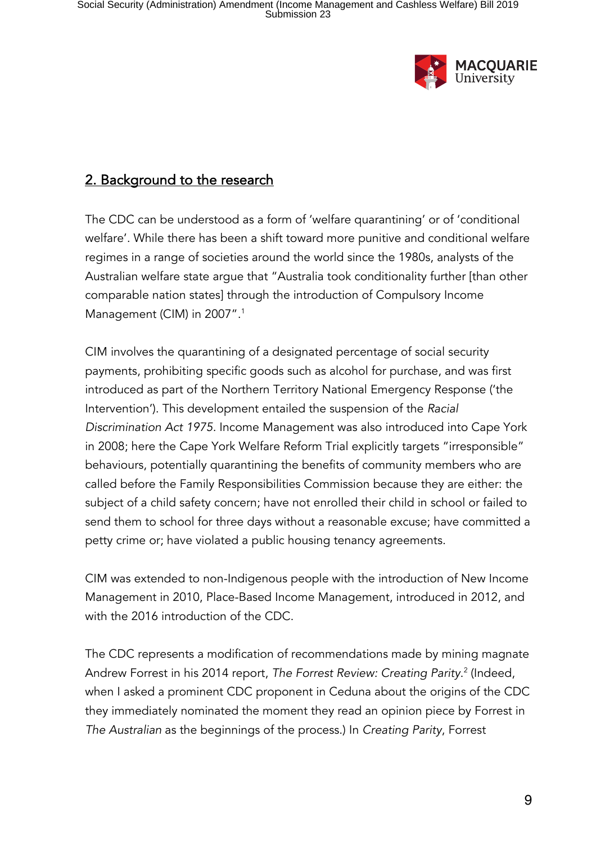

# 2. Background to the research

The CDC can be understood as a form of 'welfare quarantining' or of 'conditional welfare'. While there has been a shift toward more punitive and conditional welfare regimes in a range of societies around the world since the 1980s, analysts of the Australian welfare state argue that "Australia took conditionality further [than other comparable nation states] through the introduction of Compulsory Income Management (CIM) in 2007". 1

CIM involves the quarantining of a designated percentage of social security payments, prohibiting specific goods such as alcohol for purchase, and was first introduced as part of the Northern Territory National Emergency Response ('the Intervention'). This development entailed the suspension of the *Racial Discrimination Act 1975.* Income Management was also introduced into Cape York in 2008; here the Cape York Welfare Reform Trial explicitly targets "irresponsible" behaviours, potentially quarantining the benefits of community members who are called before the Family Responsibilities Commission because they are either: the subject of a child safety concern; have not enrolled their child in school or failed to send them to school for three days without a reasonable excuse; have committed a petty crime or; have violated a public housing tenancy agreements.

CIM was extended to non-Indigenous people with the introduction of New Income Management in 2010, Place-Based Income Management, introduced in 2012, and with the 2016 introduction of the CDC.

The CDC represents a modification of recommendations made by mining magnate Andrew Forrest in his 2014 report, *The Forrest Review: Creating Parity*. <sup>2</sup> (Indeed, when I asked a prominent CDC proponent in Ceduna about the origins of the CDC they immediately nominated the moment they read an opinion piece by Forrest in *The Australian* as the beginnings of the process.) In *Creating Parity*, Forrest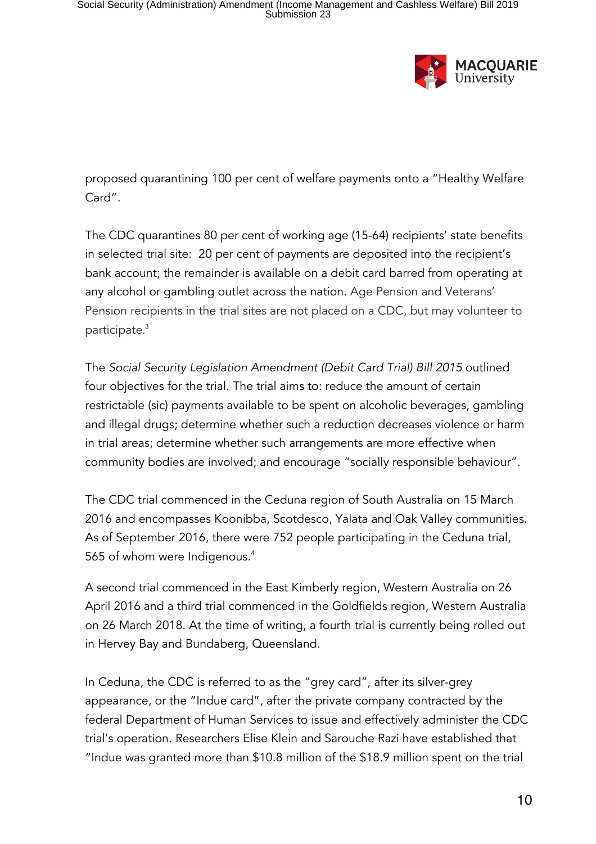

proposed quarantining 100 per cent of welfare payments onto a "Healthy Welfare Card".

The CDC quarantines 80 per cent of working age (15-64) recipients' state benefits in selected trial site: 20 per cent of payments are deposited into the recipient's bank account; the remainder is available on a debit card barred from operating at any alcohol or gambling outlet across the nation. Age Pension and Veterans' Pension recipients in the trial sites are not placed on a CDC, but may volunteer to participate. 3

The *Social Security Legislation Amendment (Debit Card Trial) Bill 2015* outlined four objectives for the trial. The trial aims to: reduce the amount of certain restrictable (sic) payments available to be spent on alcoholic beverages, gambling and illegal drugs; determine whether such a reduction decreases violence or harm in trial areas; determine whether such arrangements are more effective when community bodies are involved; and encourage "socially responsible behaviour".

The CDC trial commenced in the Ceduna region of South Australia on 15 March 2016 and encompasses Koonibba, Scotdesco, Yalata and Oak Valley communities. As of September 2016, there were 752 people participating in the Ceduna trial, 565 of whom were Indigenous. 4

A second trial commenced in the East Kimberly region, Western Australia on 26 April 2016 and a third trial commenced in the Goldfields region, Western Australia on 26 March 2018. At the time of writing, a fourth trial is currently being rolled out in Hervey Bay and Bundaberg, Queensland.

In Ceduna, the CDC is referred to as the "grey card", after its silver-grey appearance, or the "Indue card", after the private company contracted by the federal Department of Human Services to issue and effectively administer the CDC trial's operation. Researchers Elise Klein and Sarouche Razi have established that "Indue was granted more than \$10.8 million of the \$18.9 million spent on the trial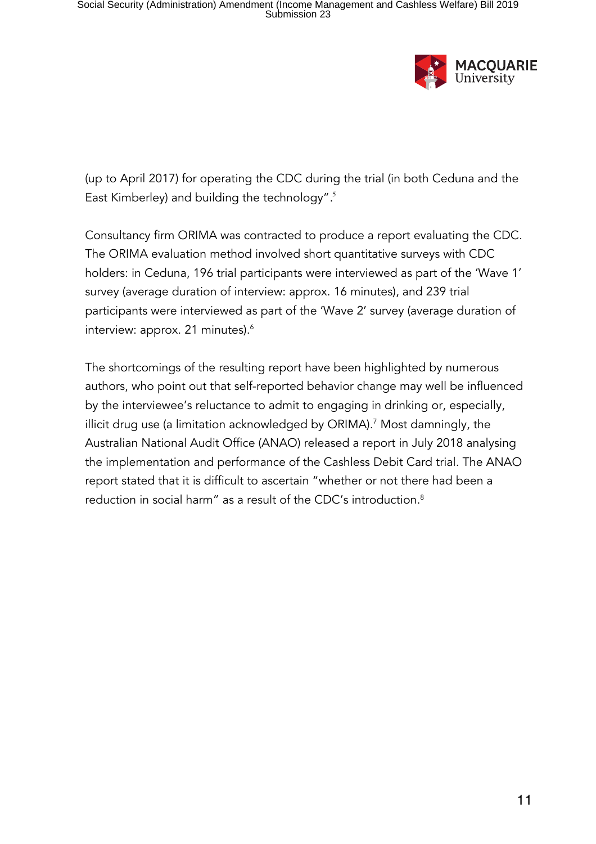

(up to April 2017) for operating the CDC during the trial (in both Ceduna and the East Kimberley) and building the technology". 5

Consultancy firm ORIMA was contracted to produce a report evaluating the CDC. The ORIMA evaluation method involved short quantitative surveys with CDC holders: in Ceduna, 196 trial participants were interviewed as part of the 'Wave 1' survey (average duration of interview: approx. 16 minutes), and 239 trial participants were interviewed as part of the 'Wave 2' survey (average duration of interview: approx. 21 minutes).<sup>6</sup>

The shortcomings of the resulting report have been highlighted by numerous authors, who point out that self-reported behavior change may well be influenced by the interviewee's reluctance to admit to engaging in drinking or, especially, illicit drug use (a limitation acknowledged by ORIMA).<sup>7</sup> Most damningly, the Australian National Audit Office (ANAO) released a report in July 2018 analysing the implementation and performance of the Cashless Debit Card trial. The ANAO report stated that it is difficult to ascertain "whether or not there had been a reduction in social harm" as a result of the CDC's introduction.<sup>8</sup>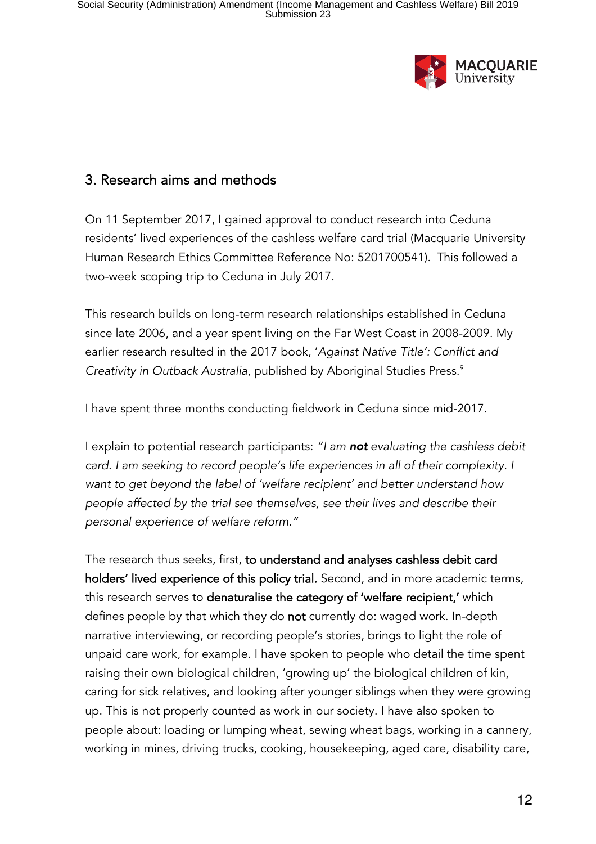

# 3. Research aims and methods

On 11 September 2017, I gained approval to conduct research into Ceduna residents' lived experiences of the cashless welfare card trial (Macquarie University Human Research Ethics Committee Reference No: 5201700541). This followed a two-week scoping trip to Ceduna in July 2017.

This research builds on long-term research relationships established in Ceduna since late 2006, and a year spent living on the Far West Coast in 2008-2009. My earlier research resulted in the 2017 book, '*Against Native Title': Conflict and Creativity in Outback Australia*, published by Aboriginal Studies Press.9

I have spent three months conducting fieldwork in Ceduna since mid-2017.

I explain to potential research participants: *"I am not evaluating the cashless debit*  card. I am seeking to record people's life experiences in all of their complexity. I *want to get beyond the label of 'welfare recipient' and better understand how people affected by the trial see themselves, see their lives and describe their personal experience of welfare reform."*

The research thus seeks, first, to understand and analyses cashless debit card holders' lived experience of this policy trial. Second, and in more academic terms, this research serves to denaturalise the category of 'welfare recipient,' which defines people by that which they do **not** currently do: waged work. In-depth narrative interviewing, or recording people's stories, brings to light the role of unpaid care work, for example. I have spoken to people who detail the time spent raising their own biological children, 'growing up' the biological children of kin, caring for sick relatives, and looking after younger siblings when they were growing up. This is not properly counted as work in our society. I have also spoken to people about: loading or lumping wheat, sewing wheat bags, working in a cannery, working in mines, driving trucks, cooking, housekeeping, aged care, disability care,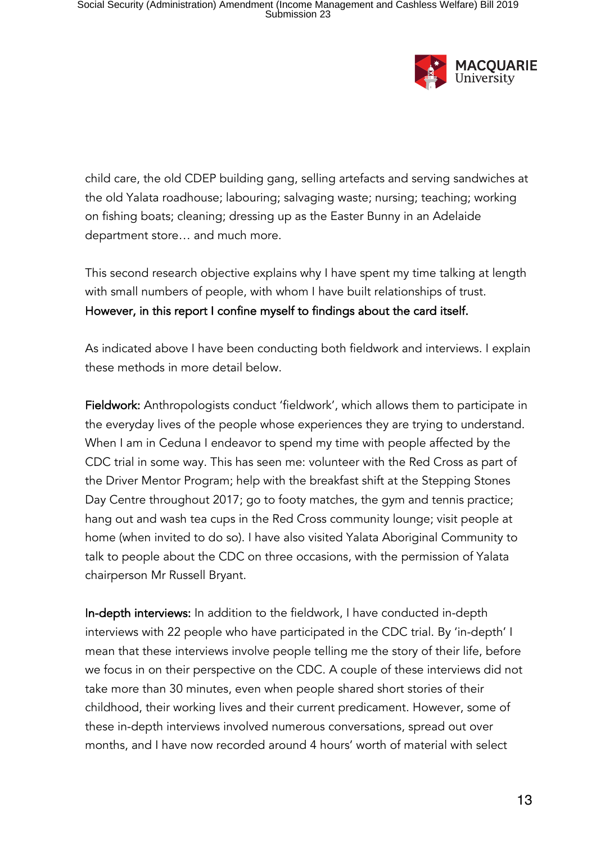

child care, the old CDEP building gang, selling artefacts and serving sandwiches at the old Yalata roadhouse; labouring; salvaging waste; nursing; teaching; working on fishing boats; cleaning; dressing up as the Easter Bunny in an Adelaide department store… and much more.

This second research objective explains why I have spent my time talking at length with small numbers of people, with whom I have built relationships of trust. However, in this report I confine myself to findings about the card itself.

As indicated above I have been conducting both fieldwork and interviews. I explain these methods in more detail below.

Fieldwork: Anthropologists conduct 'fieldwork', which allows them to participate in the everyday lives of the people whose experiences they are trying to understand. When I am in Ceduna I endeavor to spend my time with people affected by the CDC trial in some way. This has seen me: volunteer with the Red Cross as part of the Driver Mentor Program; help with the breakfast shift at the Stepping Stones Day Centre throughout 2017; go to footy matches, the gym and tennis practice; hang out and wash tea cups in the Red Cross community lounge; visit people at home (when invited to do so). I have also visited Yalata Aboriginal Community to talk to people about the CDC on three occasions, with the permission of Yalata chairperson Mr Russell Bryant.

In-depth interviews: In addition to the fieldwork, I have conducted in-depth interviews with 22 people who have participated in the CDC trial. By 'in-depth' I mean that these interviews involve people telling me the story of their life, before we focus in on their perspective on the CDC. A couple of these interviews did not take more than 30 minutes, even when people shared short stories of their childhood, their working lives and their current predicament. However, some of these in-depth interviews involved numerous conversations, spread out over months, and I have now recorded around 4 hours' worth of material with select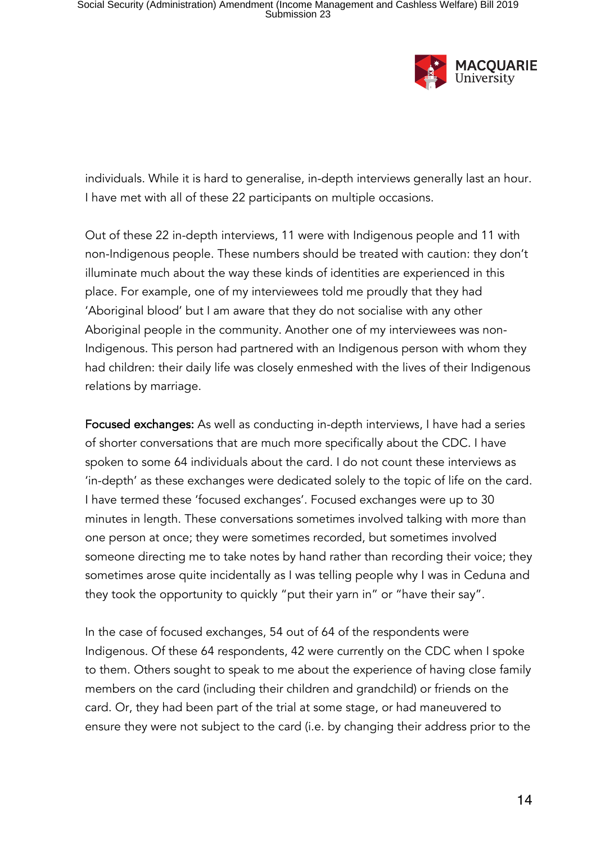

individuals. While it is hard to generalise, in-depth interviews generally last an hour. I have met with all of these 22 participants on multiple occasions.

Out of these 22 in-depth interviews, 11 were with Indigenous people and 11 with non-Indigenous people. These numbers should be treated with caution: they don't illuminate much about the way these kinds of identities are experienced in this place. For example, one of my interviewees told me proudly that they had 'Aboriginal blood' but I am aware that they do not socialise with any other Aboriginal people in the community. Another one of my interviewees was non-Indigenous. This person had partnered with an Indigenous person with whom they had children: their daily life was closely enmeshed with the lives of their Indigenous relations by marriage.

Focused exchanges: As well as conducting in-depth interviews, I have had a series of shorter conversations that are much more specifically about the CDC. I have spoken to some 64 individuals about the card. I do not count these interviews as 'in-depth' as these exchanges were dedicated solely to the topic of life on the card. I have termed these 'focused exchanges'. Focused exchanges were up to 30 minutes in length. These conversations sometimes involved talking with more than one person at once; they were sometimes recorded, but sometimes involved someone directing me to take notes by hand rather than recording their voice; they sometimes arose quite incidentally as I was telling people why I was in Ceduna and they took the opportunity to quickly "put their yarn in" or "have their say".

In the case of focused exchanges, 54 out of 64 of the respondents were Indigenous. Of these 64 respondents, 42 were currently on the CDC when I spoke to them. Others sought to speak to me about the experience of having close family members on the card (including their children and grandchild) or friends on the card. Or, they had been part of the trial at some stage, or had maneuvered to ensure they were not subject to the card (i.e. by changing their address prior to the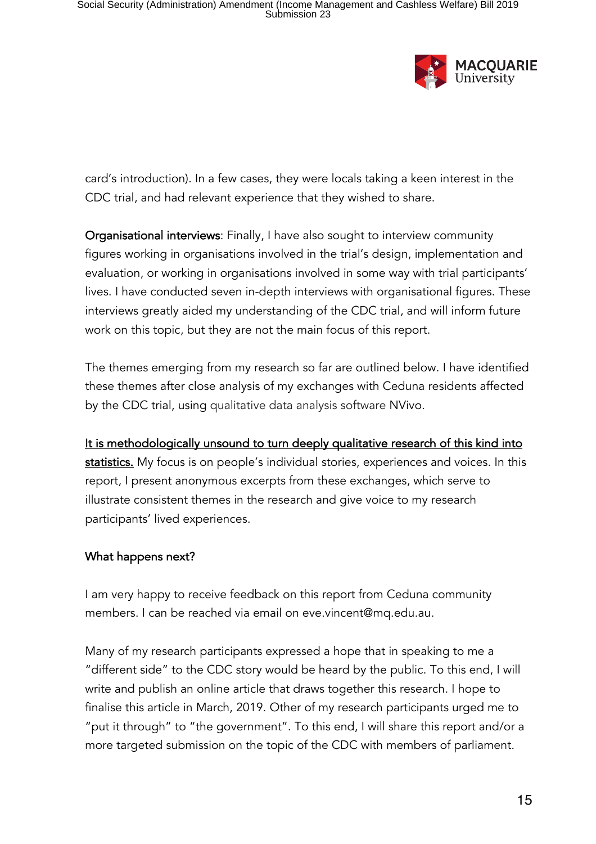

card's introduction). In a few cases, they were locals taking a keen interest in the CDC trial, and had relevant experience that they wished to share.

Organisational interviews: Finally, I have also sought to interview community figures working in organisations involved in the trial's design, implementation and evaluation, or working in organisations involved in some way with trial participants' lives. I have conducted seven in-depth interviews with organisational figures. These interviews greatly aided my understanding of the CDC trial, and will inform future work on this topic, but they are not the main focus of this report.

The themes emerging from my research so far are outlined below. I have identified these themes after close analysis of my exchanges with Ceduna residents affected by the CDC trial, using qualitative data analysis software NVivo.

It is methodologically unsound to turn deeply qualitative research of this kind into statistics. My focus is on people's individual stories, experiences and voices. In this report, I present anonymous excerpts from these exchanges, which serve to illustrate consistent themes in the research and give voice to my research participants' lived experiences.

#### What happens next?

I am very happy to receive feedback on this report from Ceduna community members. I can be reached via email on eve.vincent@mq.edu.au.

Many of my research participants expressed a hope that in speaking to me a "different side" to the CDC story would be heard by the public. To this end, I will write and publish an online article that draws together this research. I hope to finalise this article in March, 2019. Other of my research participants urged me to "put it through" to "the government". To this end, I will share this report and/or a more targeted submission on the topic of the CDC with members of parliament.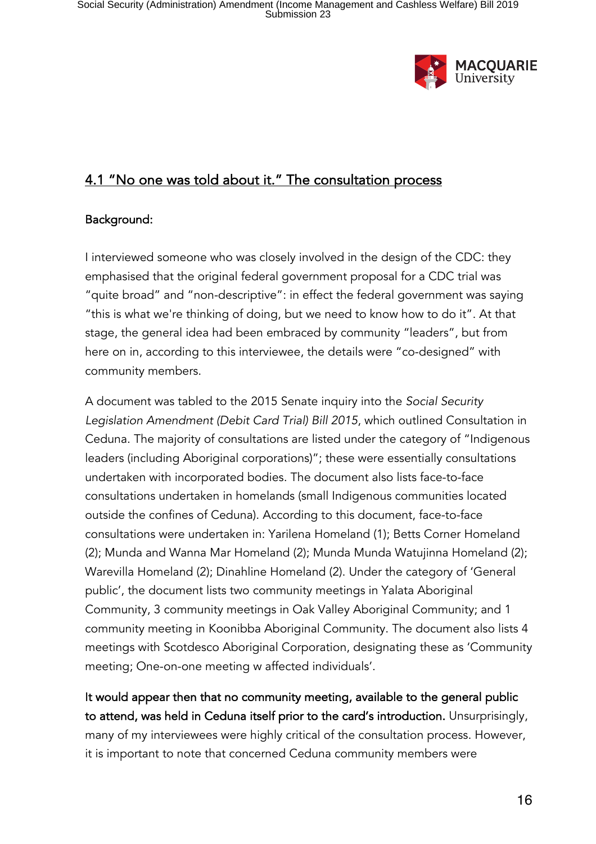

### 4.1 "No one was told about it." The consultation process

#### Background:

I interviewed someone who was closely involved in the design of the CDC: they emphasised that the original federal government proposal for a CDC trial was "quite broad" and "non-descriptive": in effect the federal government was saying "this is what we're thinking of doing, but we need to know how to do it". At that stage, the general idea had been embraced by community "leaders", but from here on in, according to this interviewee, the details were "co-designed" with community members.

A document was tabled to the 2015 Senate inquiry into the *Social Security Legislation Amendment (Debit Card Trial) Bill 2015*, which outlined Consultation in Ceduna. The majority of consultations are listed under the category of "Indigenous leaders (including Aboriginal corporations)"; these were essentially consultations undertaken with incorporated bodies. The document also lists face-to-face consultations undertaken in homelands (small Indigenous communities located outside the confines of Ceduna). According to this document, face-to-face consultations were undertaken in: Yarilena Homeland (1); Betts Corner Homeland (2); Munda and Wanna Mar Homeland (2); Munda Munda Watujinna Homeland (2); Warevilla Homeland (2); Dinahline Homeland (2). Under the category of 'General public', the document lists two community meetings in Yalata Aboriginal Community, 3 community meetings in Oak Valley Aboriginal Community; and 1 community meeting in Koonibba Aboriginal Community. The document also lists 4 meetings with Scotdesco Aboriginal Corporation, designating these as 'Community meeting; One-on-one meeting w affected individuals'.

It would appear then that no community meeting, available to the general public to attend, was held in Ceduna itself prior to the card's introduction. Unsurprisingly, many of my interviewees were highly critical of the consultation process. However, it is important to note that concerned Ceduna community members were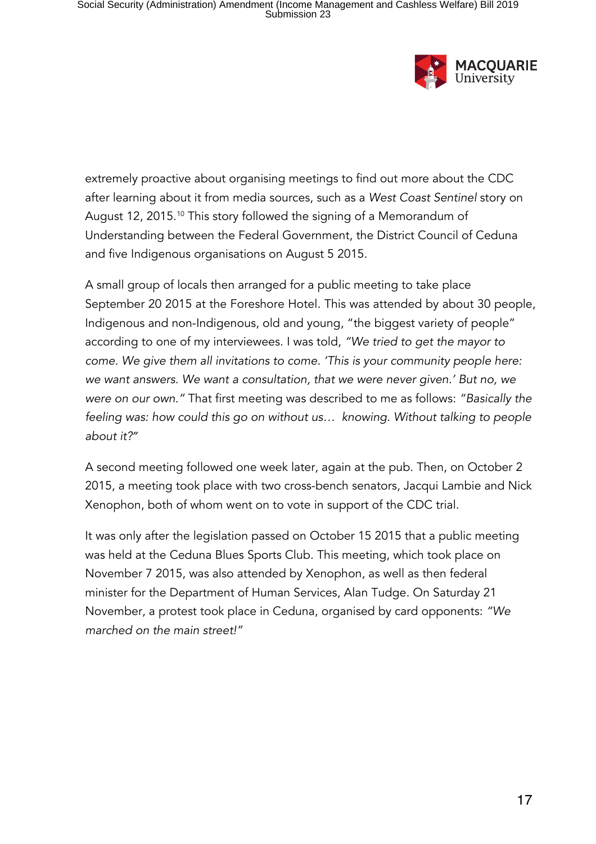

extremely proactive about organising meetings to find out more about the CDC after learning about it from media sources, such as a *West Coast Sentinel* story on August 12, 2015.10 This story followed the signing of a Memorandum of Understanding between the Federal Government, the District Council of Ceduna and five Indigenous organisations on August 5 2015.

A small group of locals then arranged for a public meeting to take place September 20 2015 at the Foreshore Hotel. This was attended by about 30 people, Indigenous and non-Indigenous, old and young, "the biggest variety of people" according to one of my interviewees. I was told, *"We tried to get the mayor to come. We give them all invitations to come. 'This is your community people here: we want answers. We want a consultation, that we were never given.' But no, we were on our own."* That first meeting was described to me as follows: *"Basically the feeling was: how could this go on without us… knowing. Without talking to people about it?"*

A second meeting followed one week later, again at the pub. Then, on October 2 2015, a meeting took place with two cross-bench senators, Jacqui Lambie and Nick Xenophon, both of whom went on to vote in support of the CDC trial.

It was only after the legislation passed on October 15 2015 that a public meeting was held at the Ceduna Blues Sports Club. This meeting, which took place on November 7 2015, was also attended by Xenophon, as well as then federal minister for the Department of Human Services, Alan Tudge. On Saturday 21 November, a protest took place in Ceduna, organised by card opponents: *"We marched on the main street!"*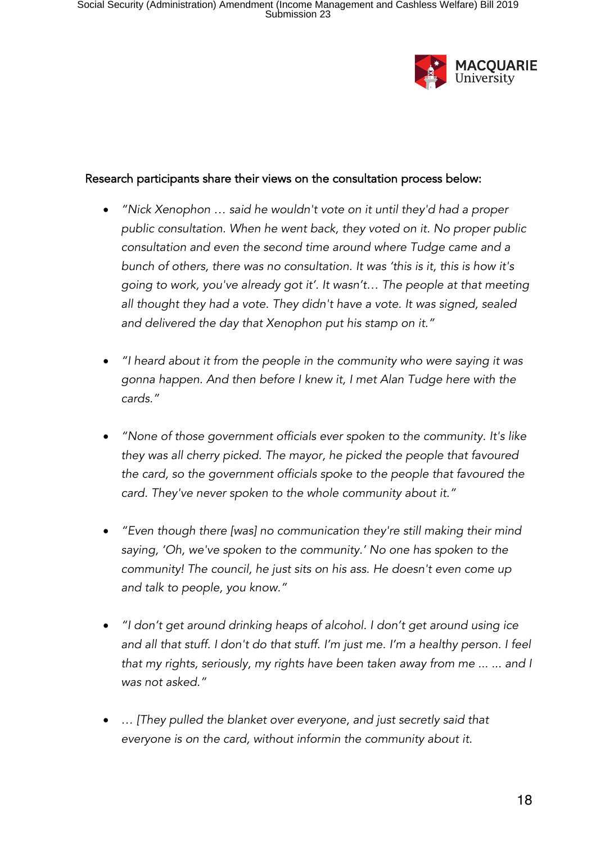

#### Research participants share their views on the consultation process below:

- *"Nick Xenophon … said he wouldn't vote on it until they'd had a proper public consultation. When he went back, they voted on it. No proper public consultation and even the second time around where Tudge came and a bunch of others, there was no consultation. It was 'this is it, this is how it's going to work, you've already got it'. It wasn't… The people at that meeting all thought they had a vote. They didn't have a vote. It was signed, sealed and delivered the day that Xenophon put his stamp on it."*
- *"I heard about it from the people in the community who were saying it was gonna happen. And then before I knew it, I met Alan Tudge here with the cards."*
- *"None of those government officials ever spoken to the community. It's like they was all cherry picked. The mayor, he picked the people that favoured the card, so the government officials spoke to the people that favoured the card. They've never spoken to the whole community about it."*
- *"Even though there [was] no communication they're still making their mind saying, 'Oh, we've spoken to the community.' No one has spoken to the community! The council, he just sits on his ass. He doesn't even come up and talk to people, you know."*
- *"I don't get around drinking heaps of alcohol. I don't get around using ice and all that stuff. I don't do that stuff. I'm just me. I'm a healthy person. I feel that my rights, seriously, my rights have been taken away from me ... ... and I was not asked."*
- *… [They pulled the blanket over everyone, and just secretly said that everyone is on the card, without informin the community about it.*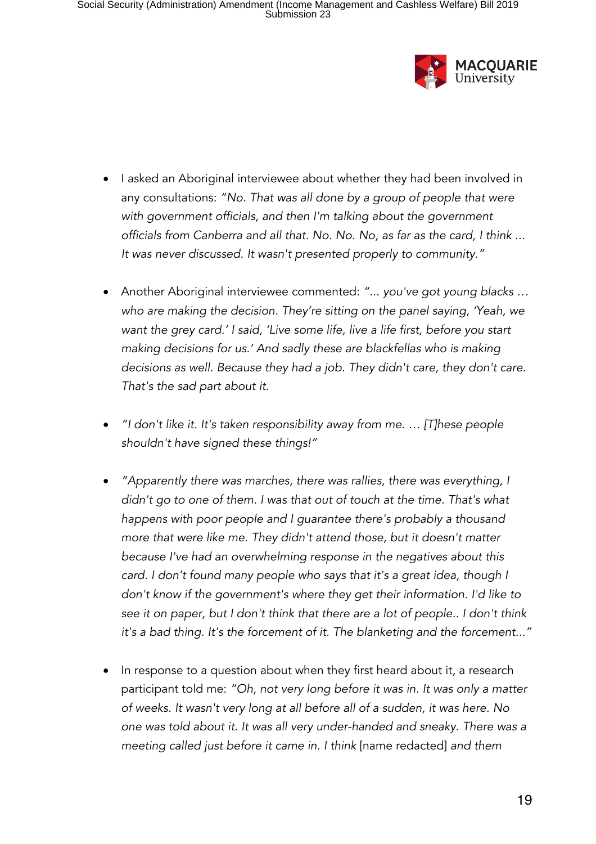

- I asked an Aboriginal interviewee about whether they had been involved in any consultations: *"No. That was all done by a group of people that were with government officials, and then I'm talking about the government officials from Canberra and all that. No. No. No, as far as the card, I think ... It was never discussed. It wasn't presented properly to community."*
- Another Aboriginal interviewee commented: *"... you've got young blacks … who are making the decision. They're sitting on the panel saying, 'Yeah, we want the grey card.' I said, 'Live some life, live a life first, before you start making decisions for us.' And sadly these are blackfellas who is making decisions as well. Because they had a job. They didn't care, they don't care. That's the sad part about it.*
- *"I don't like it. It's taken responsibility away from me. … [T]hese people shouldn't have signed these things!"*
- *"Apparently there was marches, there was rallies, there was everything, I didn't go to one of them. I was that out of touch at the time. That's what happens with poor people and I guarantee there's probably a thousand more that were like me. They didn't attend those, but it doesn't matter because I've had an overwhelming response in the negatives about this card. I don't found many people who says that it's a great idea, though I don't know if the government's where they get their information. I'd like to see it on paper, but I don't think that there are a lot of people.. I don't think it's a bad thing. It's the forcement of it. The blanketing and the forcement..."*
- In response to a question about when they first heard about it, a research participant told me: *"Oh, not very long before it was in. It was only a matter of weeks. It wasn't very long at all before all of a sudden, it was here. No one was told about it. It was all very under-handed and sneaky. There was a meeting called just before it came in. I think* [name redacted] *and them*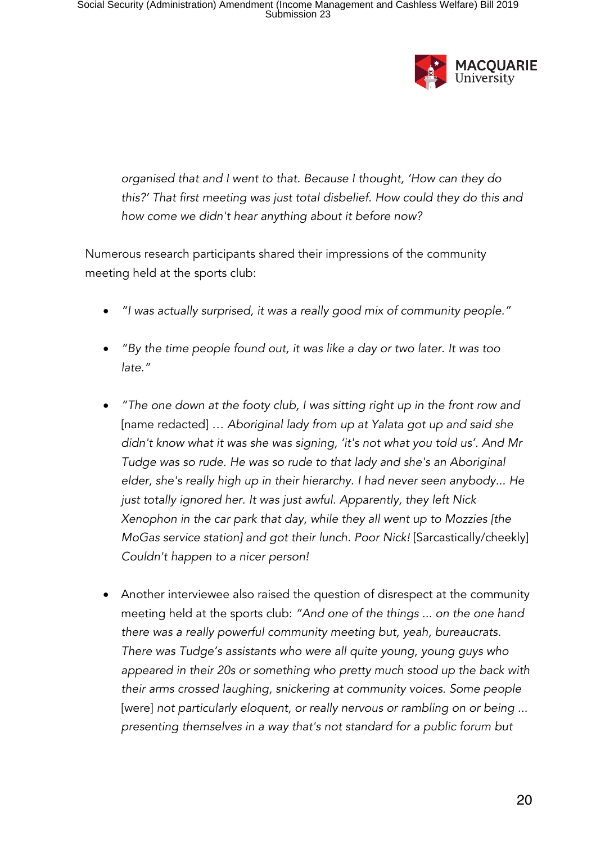

*organised that and I went to that. Because I thought, 'How can they do this?' That first meeting was just total disbelief. How could they do this and how come we didn't hear anything about it before now?*

Numerous research participants shared their impressions of the community meeting held at the sports club:

- *"I was actually surprised, it was a really good mix of community people."*
- *"By the time people found out, it was like a day or two later. It was too late."*
- *"The one down at the footy club, I was sitting right up in the front row and*  [name redacted] … *Aboriginal lady from up at Yalata got up and said she didn't know what it was she was signing, 'it's not what you told us'. And Mr Tudge was so rude. He was so rude to that lady and she's an Aboriginal elder, she's really high up in their hierarchy. I had never seen anybody... He just totally ignored her. It was just awful. Apparently, they left Nick Xenophon in the car park that day, while they all went up to Mozzies [the MoGas service station] and got their lunch. Poor Nick!* [Sarcastically/cheekly] *Couldn't happen to a nicer person!*
- Another interviewee also raised the question of disrespect at the community meeting held at the sports club: *"And one of the things ... on the one hand there was a really powerful community meeting but, yeah, bureaucrats. There was Tudge's assistants who were all quite young, young guys who appeared in their 20s or something who pretty much stood up the back with their arms crossed laughing, snickering at community voices. Some people*  [were] not particularly eloquent, or really nervous or rambling on or being ... *presenting themselves in a way that's not standard for a public forum but*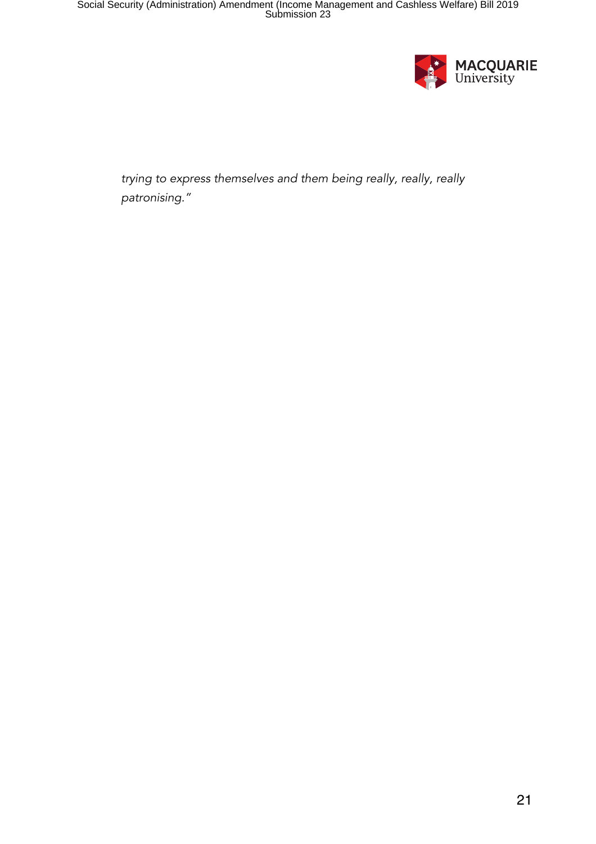

*trying to express themselves and them being really, really, really patronising."*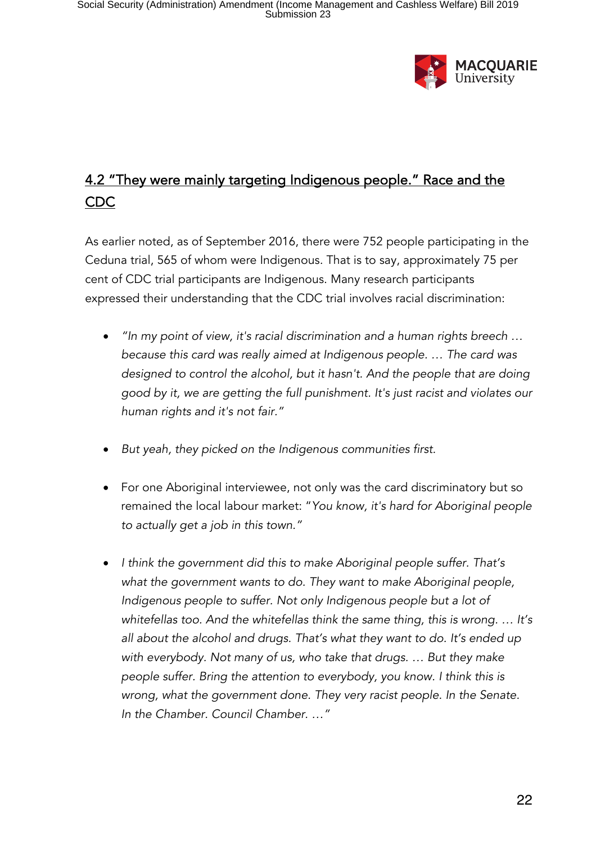

# 4.2 "They were mainly targeting Indigenous people." Race and the CDC

As earlier noted, as of September 2016, there were 752 people participating in the Ceduna trial, 565 of whom were Indigenous. That is to say, approximately 75 per cent of CDC trial participants are Indigenous. Many research participants expressed their understanding that the CDC trial involves racial discrimination:

- *"In my point of view, it's racial discrimination and a human rights breech … because this card was really aimed at Indigenous people. … The card was designed to control the alcohol, but it hasn't. And the people that are doing good by it, we are getting the full punishment. It's just racist and violates our human rights and it's not fair."*
- *But yeah, they picked on the Indigenous communities first.*
- For one Aboriginal interviewee, not only was the card discriminatory but so remained the local labour market: "*You know, it's hard for Aboriginal people to actually get a job in this town."*
- *I think the government did this to make Aboriginal people suffer. That's what the government wants to do. They want to make Aboriginal people, Indigenous people to suffer. Not only Indigenous people but a lot of whitefellas too. And the whitefellas think the same thing, this is wrong. … It's all about the alcohol and drugs. That's what they want to do. It's ended up with everybody. Not many of us, who take that drugs. … But they make people suffer. Bring the attention to everybody, you know. I think this is wrong, what the government done. They very racist people. In the Senate. In the Chamber. Council Chamber. …"*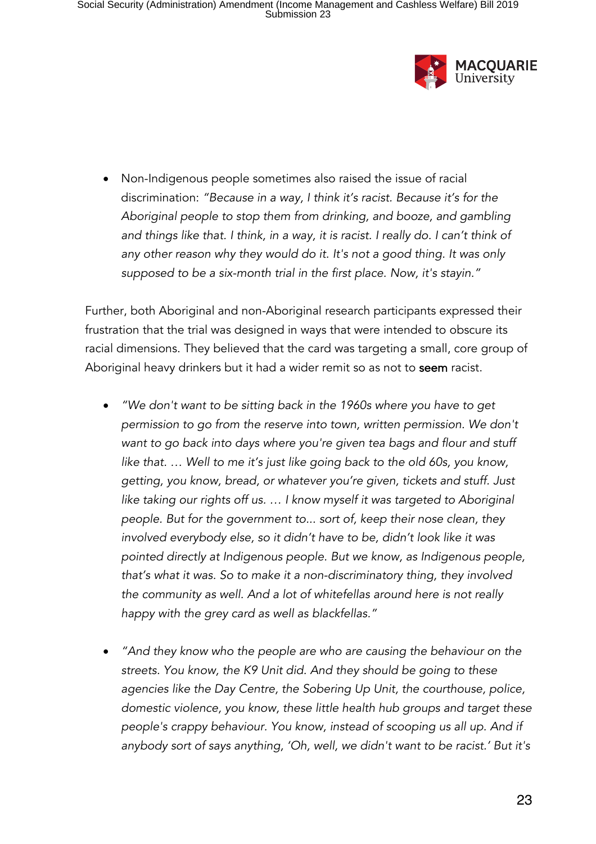

• Non-Indigenous people sometimes also raised the issue of racial discrimination: *"Because in a way, I think it's racist. Because it's for the Aboriginal people to stop them from drinking, and booze, and gambling and things like that. I think, in a way, it is racist. I really do. I can't think of any other reason why they would do it. It's not a good thing. It was only supposed to be a six-month trial in the first place. Now, it's stayin."*

Further, both Aboriginal and non-Aboriginal research participants expressed their frustration that the trial was designed in ways that were intended to obscure its racial dimensions. They believed that the card was targeting a small, core group of Aboriginal heavy drinkers but it had a wider remit so as not to seem racist.

- *"We don't want to be sitting back in the 1960s where you have to get permission to go from the reserve into town, written permission. We don't want to go back into days where you're given tea bags and flour and stuff like that. … Well to me it's just like going back to the old 60s, you know, getting, you know, bread, or whatever you're given, tickets and stuff. Just*  like taking our rights off us. ... I know myself it was targeted to Aboriginal *people. But for the government to... sort of, keep their nose clean, they involved everybody else, so it didn't have to be, didn't look like it was pointed directly at Indigenous people. But we know, as Indigenous people, that's what it was. So to make it a non-discriminatory thing, they involved the community as well. And a lot of whitefellas around here is not really happy with the grey card as well as blackfellas."*
- *"And they know who the people are who are causing the behaviour on the streets. You know, the K9 Unit did. And they should be going to these agencies like the Day Centre, the Sobering Up Unit, the courthouse, police, domestic violence, you know, these little health hub groups and target these people's crappy behaviour. You know, instead of scooping us all up. And if anybody sort of says anything, 'Oh, well, we didn't want to be racist.' But it's*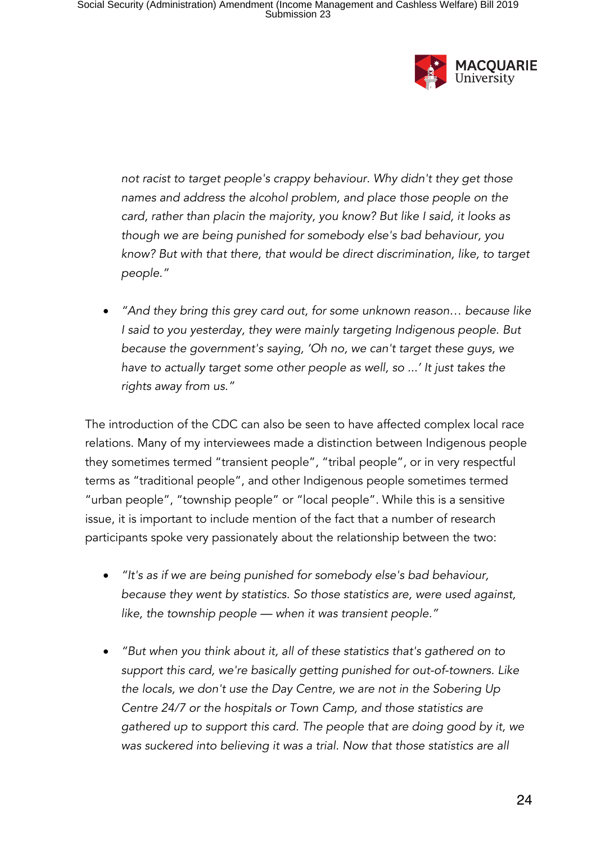

*not racist to target people's crappy behaviour. Why didn't they get those names and address the alcohol problem, and place those people on the card, rather than placin the majority, you know? But like I said, it looks as though we are being punished for somebody else's bad behaviour, you know? But with that there, that would be direct discrimination, like, to target people."*

• *"And they bring this grey card out, for some unknown reason… because like I said to you yesterday, they were mainly targeting Indigenous people. But because the government's saying, 'Oh no, we can't target these guys, we have to actually target some other people as well, so ...' It just takes the rights away from us."*

The introduction of the CDC can also be seen to have affected complex local race relations. Many of my interviewees made a distinction between Indigenous people they sometimes termed "transient people", "tribal people", or in very respectful terms as "traditional people", and other Indigenous people sometimes termed "urban people", "township people" or "local people". While this is a sensitive issue, it is important to include mention of the fact that a number of research participants spoke very passionately about the relationship between the two:

- *"It's as if we are being punished for somebody else's bad behaviour, because they went by statistics. So those statistics are, were used against, like, the township people — when it was transient people."*
- *"But when you think about it, all of these statistics that's gathered on to support this card, we're basically getting punished for out-of-towners. Like the locals, we don't use the Day Centre, we are not in the Sobering Up Centre 24/7 or the hospitals or Town Camp, and those statistics are gathered up to support this card. The people that are doing good by it, we was suckered into believing it was a trial. Now that those statistics are all*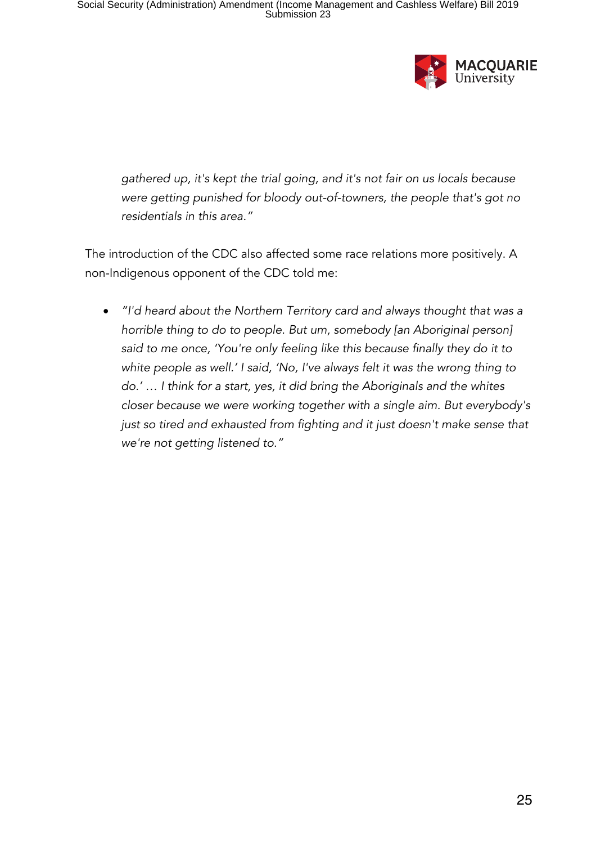

*gathered up, it's kept the trial going, and it's not fair on us locals because were getting punished for bloody out-of-towners, the people that's got no residentials in this area."*

The introduction of the CDC also affected some race relations more positively. A non-Indigenous opponent of the CDC told me:

• *"I'd heard about the Northern Territory card and always thought that was a horrible thing to do to people. But um, somebody [an Aboriginal person] said to me once, 'You're only feeling like this because finally they do it to white people as well.' I said, 'No, I've always felt it was the wrong thing to do.' … I think for a start, yes, it did bring the Aboriginals and the whites closer because we were working together with a single aim. But everybody's just so tired and exhausted from fighting and it just doesn't make sense that we're not getting listened to."*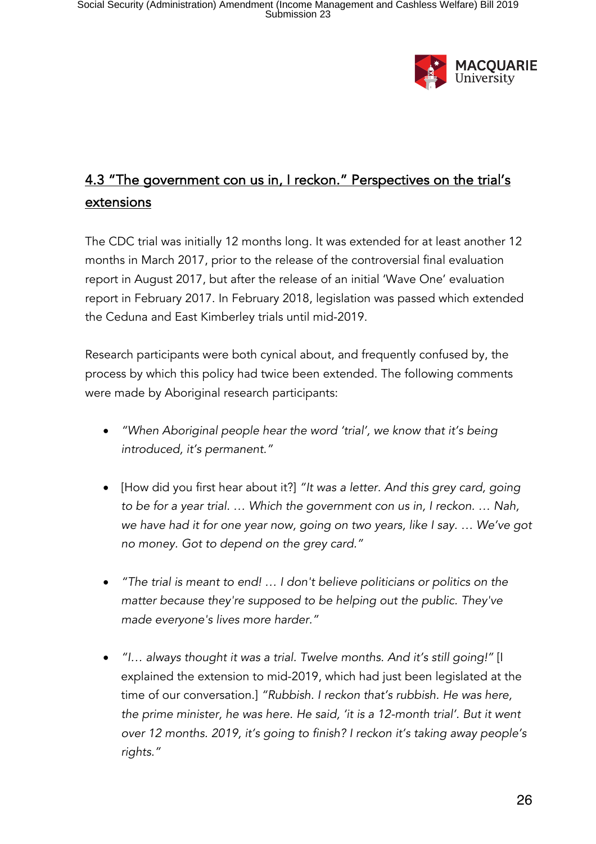

# 4.3 "The government con us in, I reckon." Perspectives on the trial's extensions

The CDC trial was initially 12 months long. It was extended for at least another 12 months in March 2017, prior to the release of the controversial final evaluation report in August 2017, but after the release of an initial 'Wave One' evaluation report in February 2017. In February 2018, legislation was passed which extended the Ceduna and East Kimberley trials until mid-2019.

Research participants were both cynical about, and frequently confused by, the process by which this policy had twice been extended. The following comments were made by Aboriginal research participants:

- *"When Aboriginal people hear the word 'trial', we know that it's being introduced, it's permanent."*
- [How did you first hear about it?] *"It was a letter. And this grey card, going to be for a year trial. … Which the government con us in, I reckon. … Nah, we have had it for one year now, going on two years, like I say. … We've got no money. Got to depend on the grey card."*
- *"The trial is meant to end! … I don't believe politicians or politics on the matter because they're supposed to be helping out the public. They've made everyone's lives more harder."*
- *"I… always thought it was a trial. Twelve months. And it's still going!"* [I explained the extension to mid-2019, which had just been legislated at the time of our conversation.] *"Rubbish. I reckon that's rubbish. He was here, the prime minister, he was here. He said, 'it is a 12-month trial'. But it went over 12 months. 2019, it's going to finish? I reckon it's taking away people's rights."*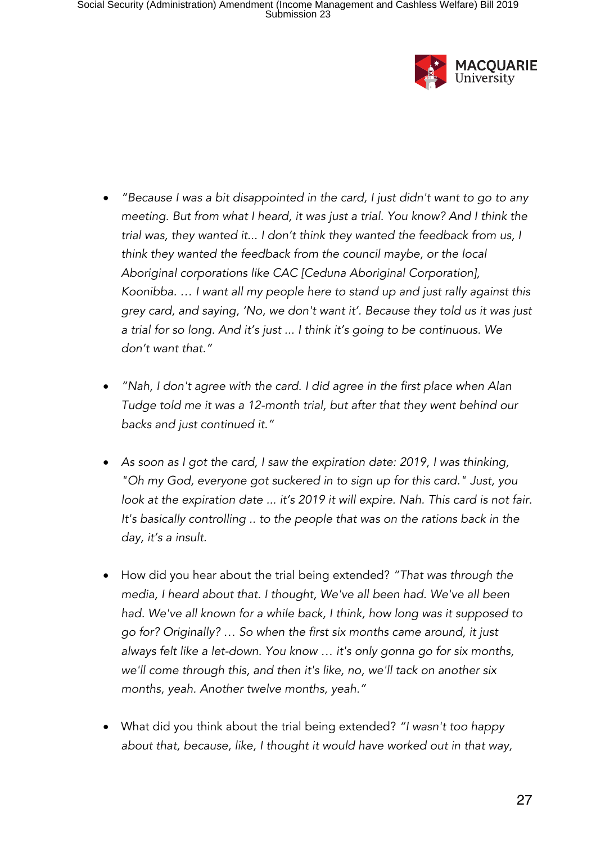

- *"Because I was a bit disappointed in the card, I just didn't want to go to any meeting. But from what I heard, it was just a trial. You know? And I think the trial was, they wanted it... I don't think they wanted the feedback from us, I think they wanted the feedback from the council maybe, or the local Aboriginal corporations like CAC [Ceduna Aboriginal Corporation], Koonibba. … I want all my people here to stand up and just rally against this grey card, and saying, 'No, we don't want it'. Because they told us it was just a trial for so long. And it's just ... I think it's going to be continuous. We don't want that."*
- *"Nah, I don't agree with the card. I did agree in the first place when Alan Tudge told me it was a 12-month trial, but after that they went behind our backs and just continued it."*
- *As soon as I got the card, I saw the expiration date: 2019, I was thinking, "Oh my God, everyone got suckered in to sign up for this card." Just, you*  look at the expiration date ... it's 2019 it will expire. Nah. This card is not fair. *It's basically controlling .. to the people that was on the rations back in the day, it's a insult.*
- How did you hear about the trial being extended? *"That was through the media, I heard about that. I thought, We've all been had. We've all been had. We've all known for a while back, I think, how long was it supposed to go for? Originally? … So when the first six months came around, it just always felt like a let-down. You know … it's only gonna go for six months, we'll come through this, and then it's like, no, we'll tack on another six months, yeah. Another twelve months, yeah."*
- What did you think about the trial being extended? *"I wasn't too happy about that, because, like, I thought it would have worked out in that way,*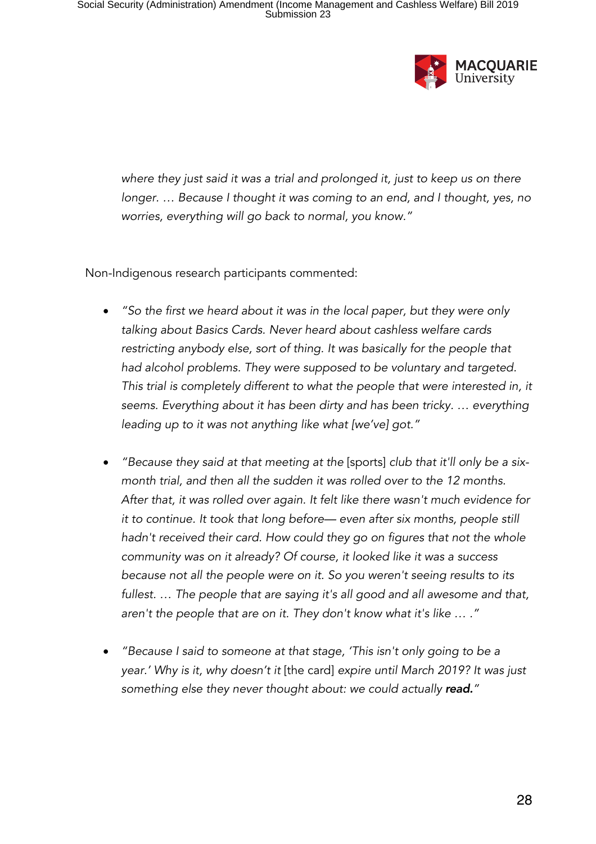

*where they just said it was a trial and prolonged it, just to keep us on there longer. ... Because I thought it was coming to an end, and I thought, yes, no worries, everything will go back to normal, you know."*

Non-Indigenous research participants commented:

- *"So the first we heard about it was in the local paper, but they were only talking about Basics Cards. Never heard about cashless welfare cards restricting anybody else, sort of thing. It was basically for the people that had alcohol problems. They were supposed to be voluntary and targeted. This trial is completely different to what the people that were interested in, it seems. Everything about it has been dirty and has been tricky. … everything leading up to it was not anything like what [we've] got."*
- *"Because they said at that meeting at the* [sports] *club that it'll only be a sixmonth trial, and then all the sudden it was rolled over to the 12 months. After that, it was rolled over again. It felt like there wasn't much evidence for it to continue. It took that long before— even after six months, people still hadn't received their card. How could they go on figures that not the whole community was on it already? Of course, it looked like it was a success because not all the people were on it. So you weren't seeing results to its fullest. … The people that are saying it's all good and all awesome and that, aren't the people that are on it. They don't know what it's like … ."*
- *"Because I said to someone at that stage, 'This isn't only going to be a year.' Why is it, why doesn't it* [the card] *expire until March 2019? It was just something else they never thought about: we could actually read."*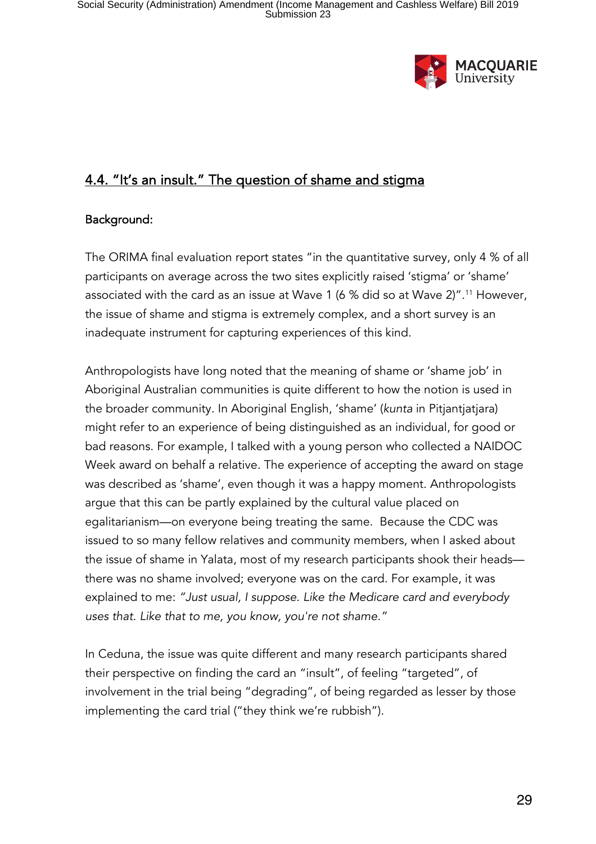

### 4.4. "It's an insult." The question of shame and stigma

#### Background:

The ORIMA final evaluation report states "in the quantitative survey, only 4 % of all participants on average across the two sites explicitly raised 'stigma' or 'shame' associated with the card as an issue at Wave 1 (6 % did so at Wave 2)". <sup>11</sup> However, the issue of shame and stigma is extremely complex, and a short survey is an inadequate instrument for capturing experiences of this kind.

Anthropologists have long noted that the meaning of shame or 'shame job' in Aboriginal Australian communities is quite different to how the notion is used in the broader community. In Aboriginal English, 'shame' (*kunta* in Pitjantjatjara) might refer to an experience of being distinguished as an individual, for good or bad reasons. For example, I talked with a young person who collected a NAIDOC Week award on behalf a relative. The experience of accepting the award on stage was described as 'shame', even though it was a happy moment. Anthropologists argue that this can be partly explained by the cultural value placed on egalitarianism—on everyone being treating the same. Because the CDC was issued to so many fellow relatives and community members, when I asked about the issue of shame in Yalata, most of my research participants shook their heads there was no shame involved; everyone was on the card. For example, it was explained to me: *"Just usual, I suppose. Like the Medicare card and everybody uses that. Like that to me, you know, you're not shame."* 

In Ceduna, the issue was quite different and many research participants shared their perspective on finding the card an "insult", of feeling "targeted", of involvement in the trial being "degrading", of being regarded as lesser by those implementing the card trial ("they think we're rubbish").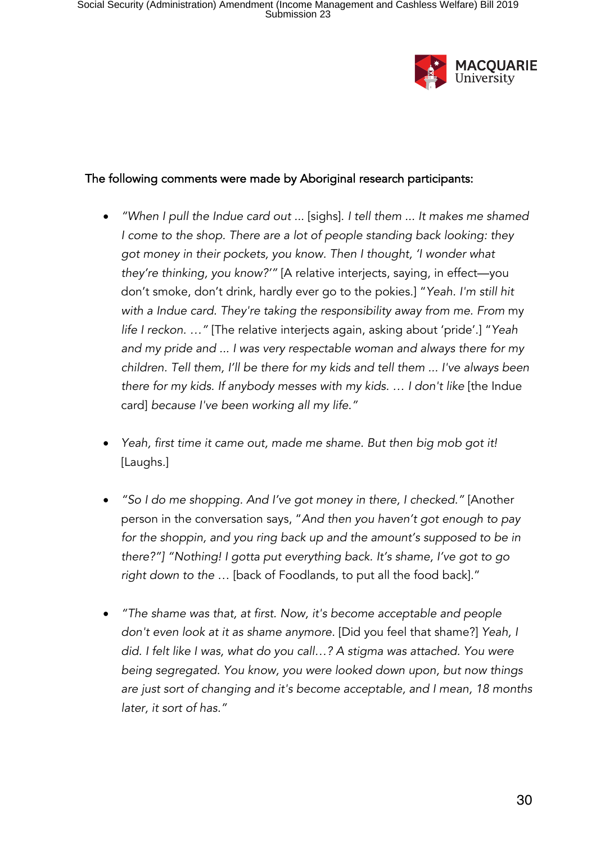

#### The following comments were made by Aboriginal research participants:

- *"When I pull the Indue card out ...* [sighs]. *I tell them ... It makes me shamed I come to the shop. There are a lot of people standing back looking: they got money in their pockets, you know. Then I thought, 'I wonder what they're thinking, you know?'"* [A relative interjects, saying, in effect—you don't smoke, don't drink, hardly ever go to the pokies.] "*Yeah. I'm still hit with a Indue card. They're taking the responsibility away from me. From* my *life I reckon. …"* [The relative interjects again, asking about 'pride'.] "*Yeah and my pride and ... I was very respectable woman and always there for my children. Tell them, I'll be there for my kids and tell them ... I've always been there for my kids. If anybody messes with my kids. ... I don't like [the Indue* card] *because I've been working all my life."*
- *Yeah, first time it came out, made me shame. But then big mob got it!*  [Laughs.]
- *"So I do me shopping. And I've got money in there, I checked."* [Another person in the conversation says, "*And then you haven't got enough to pay for the shoppin, and you ring back up and the amount's supposed to be in there?"] "Nothing! I gotta put everything back. It's shame, I've got to go right down to the* … [back of Foodlands, to put all the food back]."
- *"The shame was that, at first. Now, it's become acceptable and people don't even look at it as shame anymore.* [Did you feel that shame?] *Yeah, I did. I felt like I was, what do you call…? A stigma was attached. You were being segregated. You know, you were looked down upon, but now things are just sort of changing and it's become acceptable, and I mean, 18 months later, it sort of has."*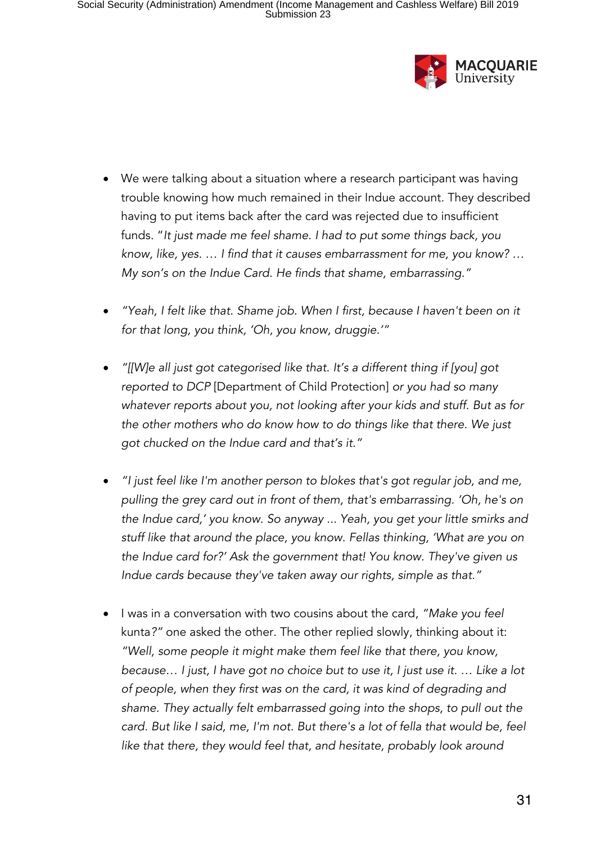

- We were talking about a situation where a research participant was having trouble knowing how much remained in their Indue account. They described having to put items back after the card was rejected due to insufficient funds. "*It just made me feel shame. I had to put some things back, you know, like, yes. … I find that it causes embarrassment for me, you know? … My son's on the Indue Card. He finds that shame, embarrassing."*
- *"Yeah, I felt like that. Shame job. When I first, because I haven't been on it for that long, you think, 'Oh, you know, druggie.'"*
- *"[[W]e all just got categorised like that. It's a different thing if [you] got reported to DCP* [Department of Child Protection] *or you had so many whatever reports about you, not looking after your kids and stuff. But as for the other mothers who do know how to do things like that there. We just got chucked on the Indue card and that's it."*
- *"I just feel like I'm another person to blokes that's got regular job, and me, pulling the grey card out in front of them, that's embarrassing. 'Oh, he's on the Indue card,' you know. So anyway ... Yeah, you get your little smirks and stuff like that around the place, you know. Fellas thinking, 'What are you on the Indue card for?' Ask the government that! You know. They've given us Indue cards because they've taken away our rights, simple as that."*
- I was in a conversation with two cousins about the card, *"Make you feel*  kunta*?"* one asked the other. The other replied slowly, thinking about it: *"Well, some people it might make them feel like that there, you know, because… I just, I have got no choice but to use it, I just use it. … Like a lot of people, when they first was on the card, it was kind of degrading and shame. They actually felt embarrassed going into the shops, to pull out the card. But like I said, me, I'm not. But there's a lot of fella that would be, feel*  like that there, they would feel that, and hesitate, probably look around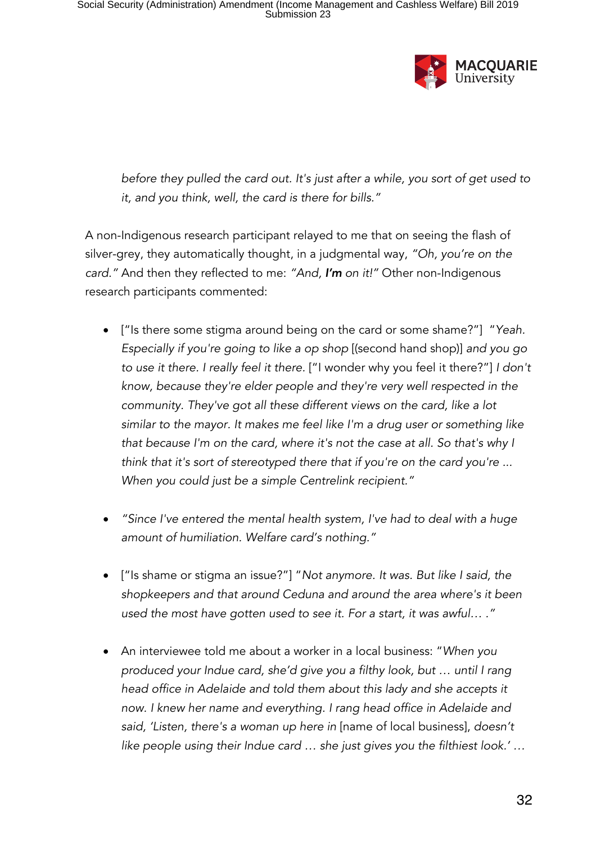

*before they pulled the card out. It's just after a while, you sort of get used to it, and you think, well, the card is there for bills."*

A non-Indigenous research participant relayed to me that on seeing the flash of silver-grey, they automatically thought, in a judgmental way, *"Oh, you're on the card."* And then they reflected to me: *"And, I'm on it!"* Other non-Indigenous research participants commented:

- ["Is there some stigma around being on the card or some shame?"] "*Yeah. Especially if you're going to like a op shop* [(second hand shop)] *and you go to use it there. I really feel it there.* ["I wonder why you feel it there?"] *I don't know, because they're elder people and they're very well respected in the community. They've got all these different views on the card, like a lot similar to the mayor. It makes me feel like I'm a drug user or something like that because I'm on the card, where it's not the case at all. So that's why I think that it's sort of stereotyped there that if you're on the card you're ... When you could just be a simple Centrelink recipient."*
- *"Since I've entered the mental health system, I've had to deal with a huge amount of humiliation. Welfare card's nothing."*
- ["Is shame or stigma an issue?"] "*Not anymore. It was. But like I said, the shopkeepers and that around Ceduna and around the area where's it been used the most have gotten used to see it. For a start, it was awful… ."*
- An interviewee told me about a worker in a local business: "*When you produced your Indue card, she'd give you a filthy look, but … until I rang head office in Adelaide and told them about this lady and she accepts it now. I knew her name and everything. I rang head office in Adelaide and said, 'Listen, there's a woman up here in* [name of local business], *doesn't like people using their Indue card … she just gives you the filthiest look.' …*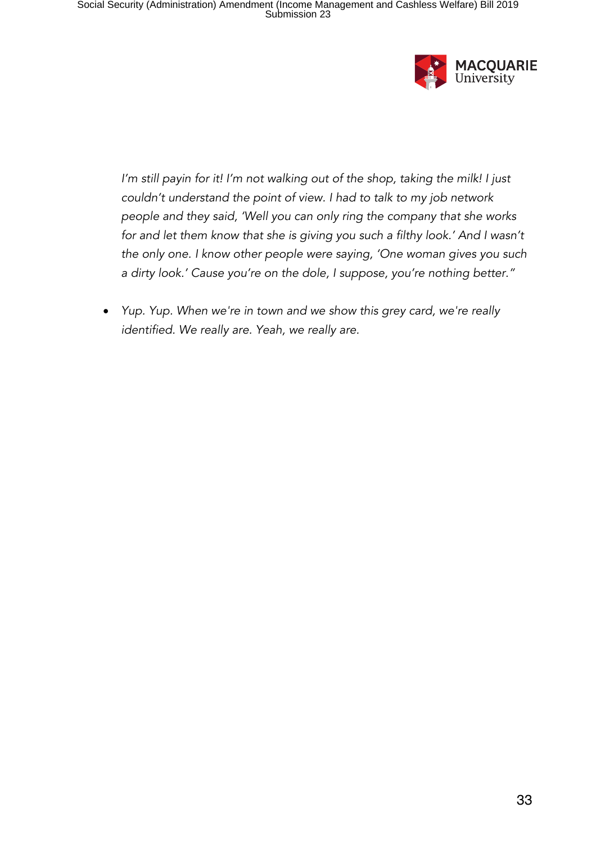

*I'm still payin for it! I'm not walking out of the shop, taking the milk! I just couldn't understand the point of view. I had to talk to my job network people and they said, 'Well you can only ring the company that she works*  for and let them know that she is giving you such a filthy look.' And I wasn't *the only one. I know other people were saying, 'One woman gives you such a dirty look.' Cause you're on the dole, I suppose, you're nothing better."*

• *Yup. Yup. When we're in town and we show this grey card, we're really identified. We really are. Yeah, we really are.*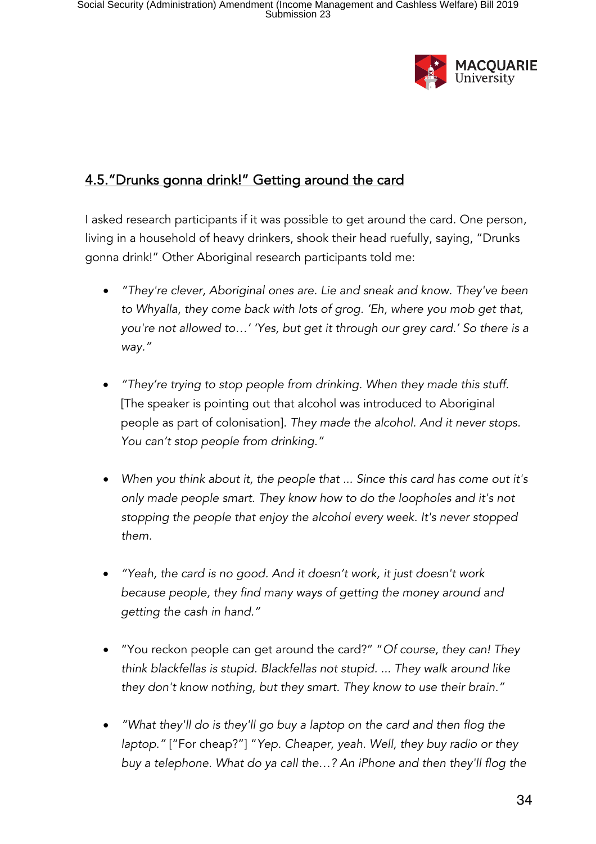

# 4.5."Drunks gonna drink!" Getting around the card

I asked research participants if it was possible to get around the card. One person, living in a household of heavy drinkers, shook their head ruefully, saying, "Drunks gonna drink!" Other Aboriginal research participants told me:

- *"They're clever, Aboriginal ones are. Lie and sneak and know. They've been to Whyalla, they come back with lots of grog. 'Eh, where you mob get that, you're not allowed to…' 'Yes, but get it through our grey card.' So there is a way."*
- *"They're trying to stop people from drinking. When they made this stuff.* [The speaker is pointing out that alcohol was introduced to Aboriginal people as part of colonisation]. *They made the alcohol. And it never stops. You can't stop people from drinking."*
- *When you think about it, the people that ... Since this card has come out it's only made people smart. They know how to do the loopholes and it's not stopping the people that enjoy the alcohol every week. It's never stopped them.*
- *"Yeah, the card is no good. And it doesn't work, it just doesn't work because people, they find many ways of getting the money around and getting the cash in hand."*
- "You reckon people can get around the card?" "*Of course, they can! They think blackfellas is stupid. Blackfellas not stupid. ... They walk around like they don't know nothing, but they smart. They know to use their brain."*
- *"What they'll do is they'll go buy a laptop on the card and then flog the laptop."* ["For cheap?"] "*Yep. Cheaper, yeah. Well, they buy radio or they buy a telephone. What do ya call the…? An iPhone and then they'll flog the*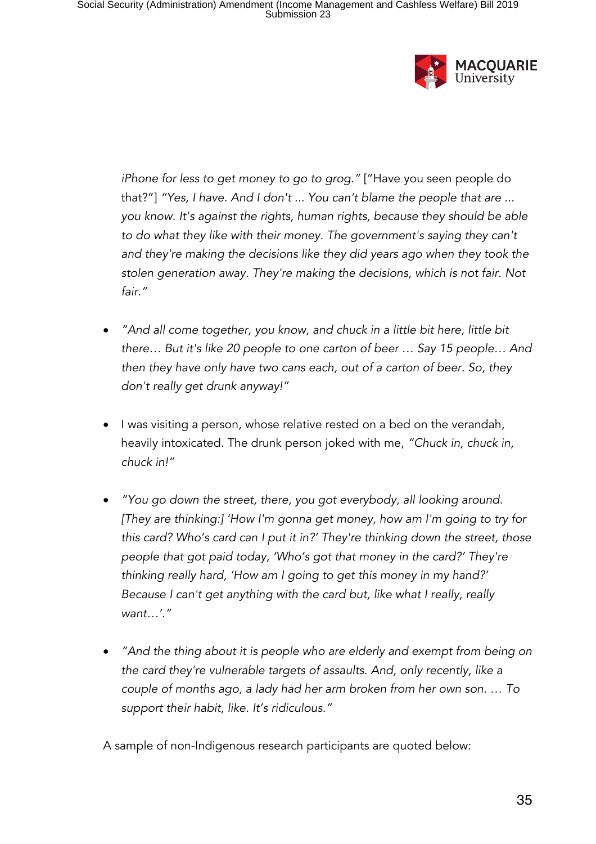

*iPhone for less to get money to go to grog."* ["Have you seen people do that?"] *"Yes, I have. And I don't ... You can't blame the people that are ... you know. It's against the rights, human rights, because they should be able to do what they like with their money. The government's saying they can't and they're making the decisions like they did years ago when they took the stolen generation away. They're making the decisions, which is not fair. Not fair."*

- *"And all come together, you know, and chuck in a little bit here, little bit there… But it's like 20 people to one carton of beer … Say 15 people… And then they have only have two cans each, out of a carton of beer. So, they don't really get drunk anyway!"*
- I was visiting a person, whose relative rested on a bed on the verandah, heavily intoxicated. The drunk person joked with me, *"Chuck in, chuck in, chuck in!"*
- *"You go down the street, there, you got everybody, all looking around. [They are thinking:] 'How I'm gonna get money, how am I'm going to try for this card? Who's card can I put it in?' They're thinking down the street, those people that got paid today, 'Who's got that money in the card?' They're thinking really hard, 'How am I going to get this money in my hand?' Because I can't get anything with the card but, like what I really, really want…'."*
- *"And the thing about it is people who are elderly and exempt from being on the card they're vulnerable targets of assaults. And, only recently, like a couple of months ago, a lady had her arm broken from her own son. … To support their habit, like. It's ridiculous."*

A sample of non-Indigenous research participants are quoted below: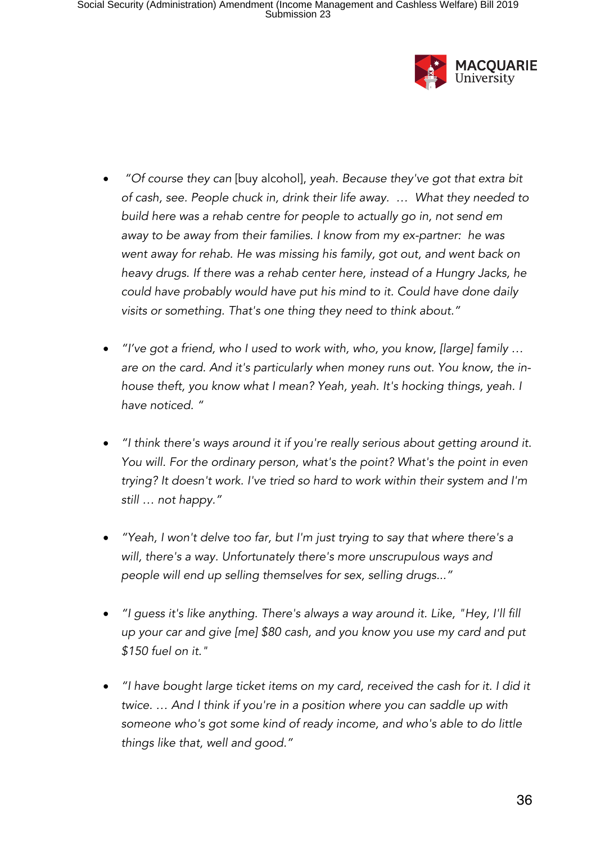

- *"Of course they can* [buy alcohol], *yeah. Because they've got that extra bit of cash, see. People chuck in, drink their life away. … What they needed to build here was a rehab centre for people to actually go in, not send em away to be away from their families. I know from my ex-partner: he was went away for rehab. He was missing his family, got out, and went back on heavy drugs. If there was a rehab center here, instead of a Hungry Jacks, he could have probably would have put his mind to it. Could have done daily visits or something. That's one thing they need to think about."*
- *"I've got a friend, who I used to work with, who, you know, [large] family … are on the card. And it's particularly when money runs out. You know, the inhouse theft, you know what I mean? Yeah, yeah. It's hocking things, yeah. I have noticed. "*
- *"I think there's ways around it if you're really serious about getting around it. You will. For the ordinary person, what's the point? What's the point in even trying? It doesn't work. I've tried so hard to work within their system and I'm still … not happy."*
- *"Yeah, I won't delve too far, but I'm just trying to say that where there's a will, there's a way. Unfortunately there's more unscrupulous ways and people will end up selling themselves for sex, selling drugs..."*
- *"I guess it's like anything. There's always a way around it. Like, "Hey, I'll fill up your car and give [me] \$80 cash, and you know you use my card and put \$150 fuel on it."*
- *"I have bought large ticket items on my card, received the cash for it. I did it twice. … And I think if you're in a position where you can saddle up with someone who's got some kind of ready income, and who's able to do little things like that, well and good."*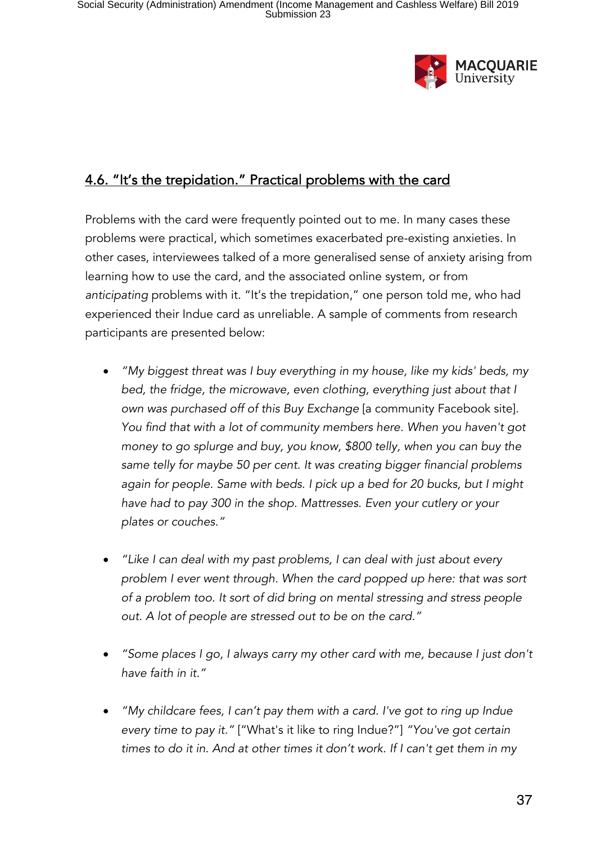

# 4.6. "It's the trepidation." Practical problems with the card

Problems with the card were frequently pointed out to me. In many cases these problems were practical, which sometimes exacerbated pre-existing anxieties. In other cases, interviewees talked of a more generalised sense of anxiety arising from learning how to use the card, and the associated online system, or from *anticipating* problems with it. "It's the trepidation," one person told me, who had experienced their Indue card as unreliable. A sample of comments from research participants are presented below:

- *"My biggest threat was I buy everything in my house, like my kids' beds, my bed, the fridge, the microwave, even clothing, everything just about that I own was purchased off of this Buy Exchange* [a community Facebook site]. *You find that with a lot of community members here. When you haven't got money to go splurge and buy, you know, \$800 telly, when you can buy the same telly for maybe 50 per cent. It was creating bigger financial problems again for people. Same with beds. I pick up a bed for 20 bucks, but I might have had to pay 300 in the shop. Mattresses. Even your cutlery or your plates or couches."*
- *"Like I can deal with my past problems, I can deal with just about every problem I ever went through. When the card popped up here: that was sort of a problem too. It sort of did bring on mental stressing and stress people out. A lot of people are stressed out to be on the card."*
- *"Some places I go, I always carry my other card with me, because I just don't have faith in it."*
- *"My childcare fees, I can't pay them with a card. I've got to ring up Indue every time to pay it."* ["What's it like to ring Indue?"] *"You've got certain times to do it in. And at other times it don't work. If I can't get them in my*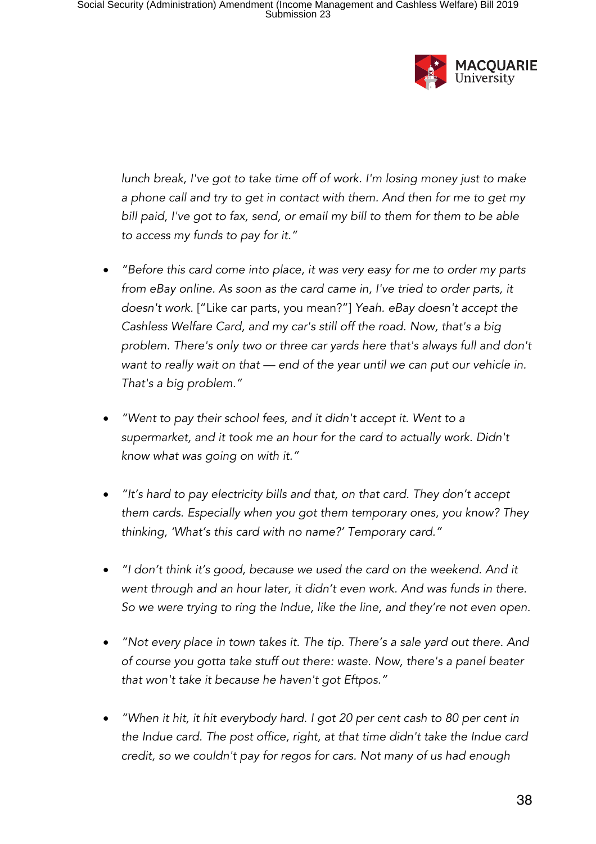

*lunch break, I've got to take time off of work. I'm losing money just to make a phone call and try to get in contact with them. And then for me to get my bill paid, I've got to fax, send, or email my bill to them for them to be able to access my funds to pay for it."*

- *"Before this card come into place, it was very easy for me to order my parts from eBay online. As soon as the card came in, I've tried to order parts, it doesn't work.* ["Like car parts, you mean?"] *Yeah. eBay doesn't accept the Cashless Welfare Card, and my car's still off the road. Now, that's a big problem. There's only two or three car yards here that's always full and don't want to really wait on that — end of the year until we can put our vehicle in. That's a big problem."*
- *"Went to pay their school fees, and it didn't accept it. Went to a supermarket, and it took me an hour for the card to actually work. Didn't know what was going on with it."*
- *"It's hard to pay electricity bills and that, on that card. They don't accept them cards. Especially when you got them temporary ones, you know? They thinking, 'What's this card with no name?' Temporary card."*
- *"I don't think it's good, because we used the card on the weekend. And it went through and an hour later, it didn't even work. And was funds in there. So we were trying to ring the Indue, like the line, and they're not even open.*
- *"Not every place in town takes it. The tip. There's a sale yard out there. And of course you gotta take stuff out there: waste. Now, there's a panel beater that won't take it because he haven't got Eftpos."*
- *"When it hit, it hit everybody hard. I got 20 per cent cash to 80 per cent in the Indue card. The post office, right, at that time didn't take the Indue card credit, so we couldn't pay for regos for cars. Not many of us had enough*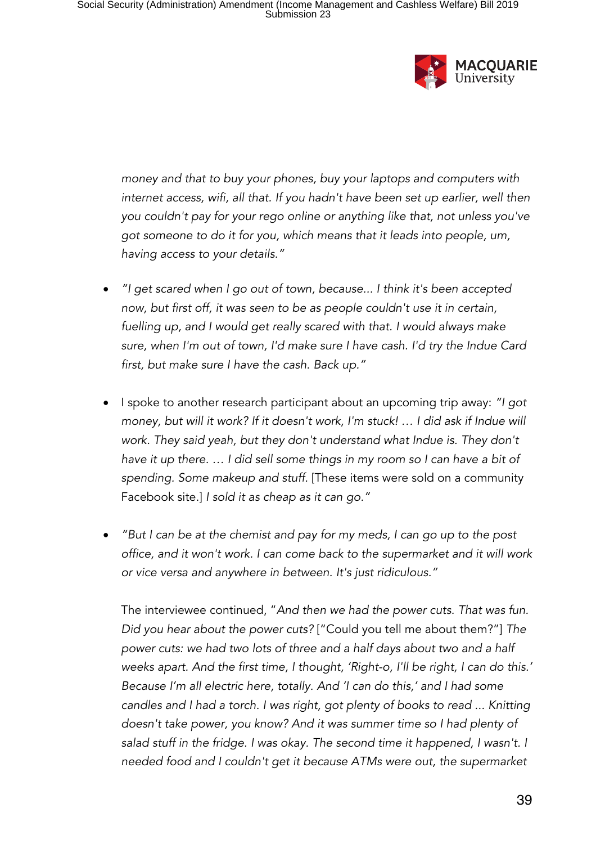

*money and that to buy your phones, buy your laptops and computers with*  internet access, wifi, all that. If you hadn't have been set up earlier, well then *you couldn't pay for your rego online or anything like that, not unless you've got someone to do it for you, which means that it leads into people, um, having access to your details."*

- *"I get scared when I go out of town, because... I think it's been accepted now, but first off, it was seen to be as people couldn't use it in certain, fuelling up, and I would get really scared with that. I would always make sure, when I'm out of town, I'd make sure I have cash. I'd try the Indue Card first, but make sure I have the cash. Back up."*
- I spoke to another research participant about an upcoming trip away: *"I got money, but will it work? If it doesn't work, I'm stuck! … I did ask if Indue will work. They said yeah, but they don't understand what Indue is. They don't have it up there. … I did sell some things in my room so I can have a bit of spending. Some makeup and stuff.* [These items were sold on a community Facebook site.] *I sold it as cheap as it can go."*
- *"But I can be at the chemist and pay for my meds, I can go up to the post office, and it won't work. I can come back to the supermarket and it will work or vice versa and anywhere in between. It's just ridiculous."*

The interviewee continued, "*And then we had the power cuts. That was fun. Did you hear about the power cuts?* ["Could you tell me about them?"] *The power cuts: we had two lots of three and a half days about two and a half weeks apart. And the first time, I thought, 'Right-o, I'll be right, I can do this.' Because I'm all electric here, totally. And 'I can do this,' and I had some candles and I had a torch. I was right, got plenty of books to read ... Knitting doesn't take power, you know? And it was summer time so I had plenty of salad stuff in the fridge. I was okay. The second time it happened, I wasn't. I needed food and I couldn't get it because ATMs were out, the supermarket*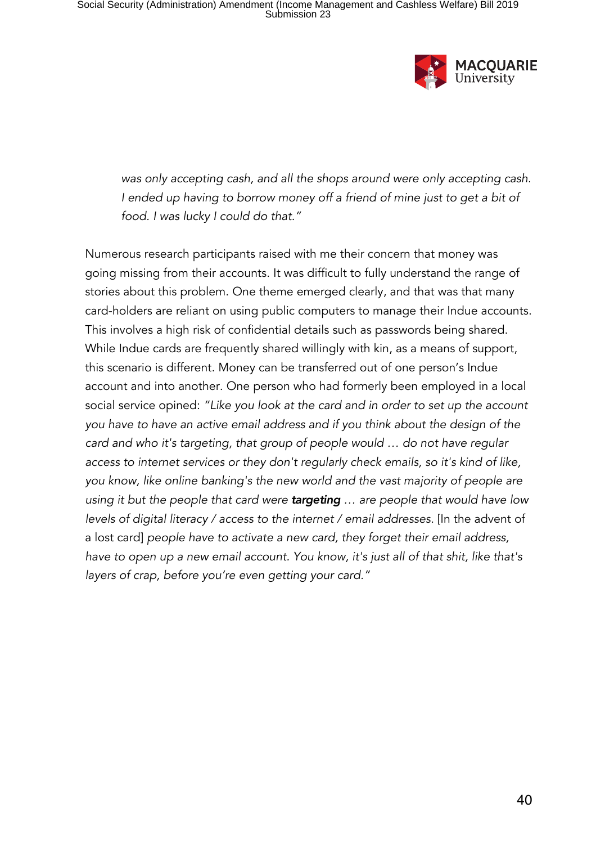

*was only accepting cash, and all the shops around were only accepting cash. I ended up having to borrow money off a friend of mine just to get a bit of food. I was lucky I could do that."*

Numerous research participants raised with me their concern that money was going missing from their accounts. It was difficult to fully understand the range of stories about this problem. One theme emerged clearly, and that was that many card-holders are reliant on using public computers to manage their Indue accounts. This involves a high risk of confidential details such as passwords being shared. While Indue cards are frequently shared willingly with kin, as a means of support, this scenario is different. Money can be transferred out of one person's Indue account and into another. One person who had formerly been employed in a local social service opined: *"Like you look at the card and in order to set up the account you have to have an active email address and if you think about the design of the card and who it's targeting, that group of people would … do not have regular access to internet services or they don't regularly check emails, so it's kind of like, you know, like online banking's the new world and the vast majority of people are using it but the people that card were targeting … are people that would have low levels of digital literacy / access to the internet / email addresses.* [In the advent of a lost card] *people have to activate a new card, they forget their email address, have to open up a new email account. You know, it's just all of that shit, like that's layers of crap, before you're even getting your card."*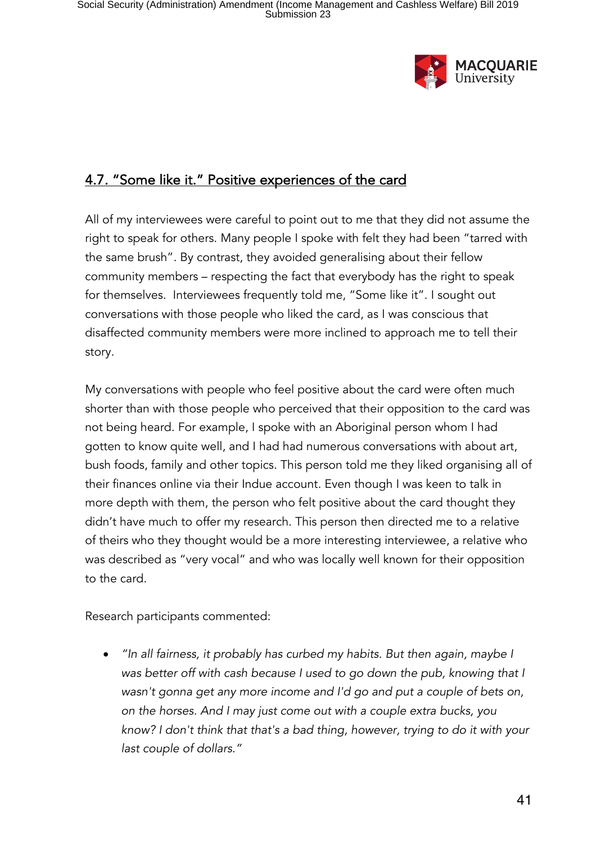

## 4.7. "Some like it." Positive experiences of the card

All of my interviewees were careful to point out to me that they did not assume the right to speak for others. Many people I spoke with felt they had been "tarred with the same brush". By contrast, they avoided generalising about their fellow community members – respecting the fact that everybody has the right to speak for themselves. Interviewees frequently told me, "Some like it". I sought out conversations with those people who liked the card, as I was conscious that disaffected community members were more inclined to approach me to tell their story.

My conversations with people who feel positive about the card were often much shorter than with those people who perceived that their opposition to the card was not being heard. For example, I spoke with an Aboriginal person whom I had gotten to know quite well, and I had had numerous conversations with about art, bush foods, family and other topics. This person told me they liked organising all of their finances online via their Indue account. Even though I was keen to talk in more depth with them, the person who felt positive about the card thought they didn't have much to offer my research. This person then directed me to a relative of theirs who they thought would be a more interesting interviewee, a relative who was described as "very vocal" and who was locally well known for their opposition to the card.

Research participants commented:

• *"In all fairness, it probably has curbed my habits. But then again, maybe I was better off with cash because I used to go down the pub, knowing that I wasn't gonna get any more income and I'd go and put a couple of bets on, on the horses. And I may just come out with a couple extra bucks, you know? I don't think that that's a bad thing, however, trying to do it with your last couple of dollars."*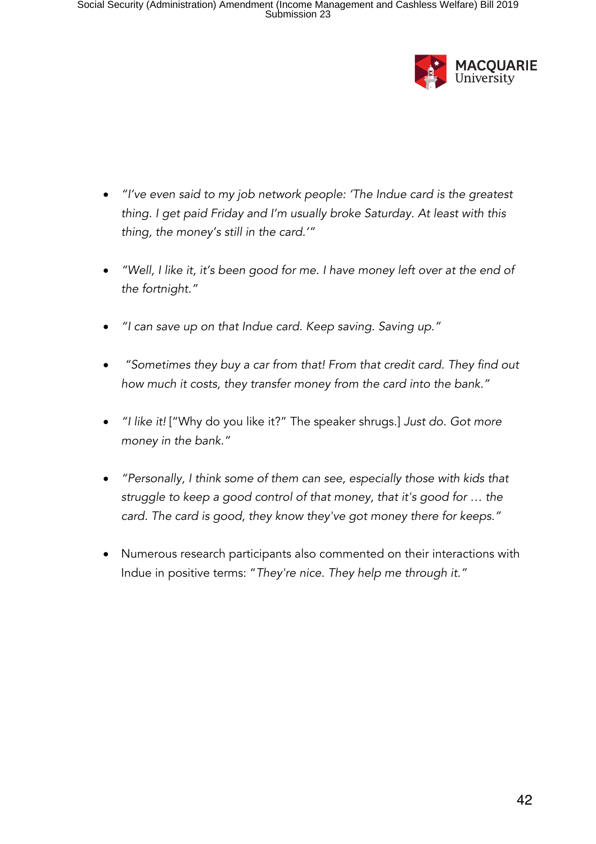

- *"I've even said to my job network people: 'The Indue card is the greatest thing. I get paid Friday and I'm usually broke Saturday. At least with this thing, the money's still in the card.'"*
- *"Well, I like it, it's been good for me. I have money left over at the end of the fortnight."*
- *"I can save up on that Indue card. Keep saving. Saving up."*
- *"Sometimes they buy a car from that! From that credit card. They find out how much it costs, they transfer money from the card into the bank."*
- *"I like it!* ["Why do you like it?" The speaker shrugs.] *Just do. Got more money in the bank."*
- *"Personally, I think some of them can see, especially those with kids that struggle to keep a good control of that money, that it's good for … the card. The card is good, they know they've got money there for keeps."*
- Numerous research participants also commented on their interactions with Indue in positive terms: "*They're nice. They help me through it."*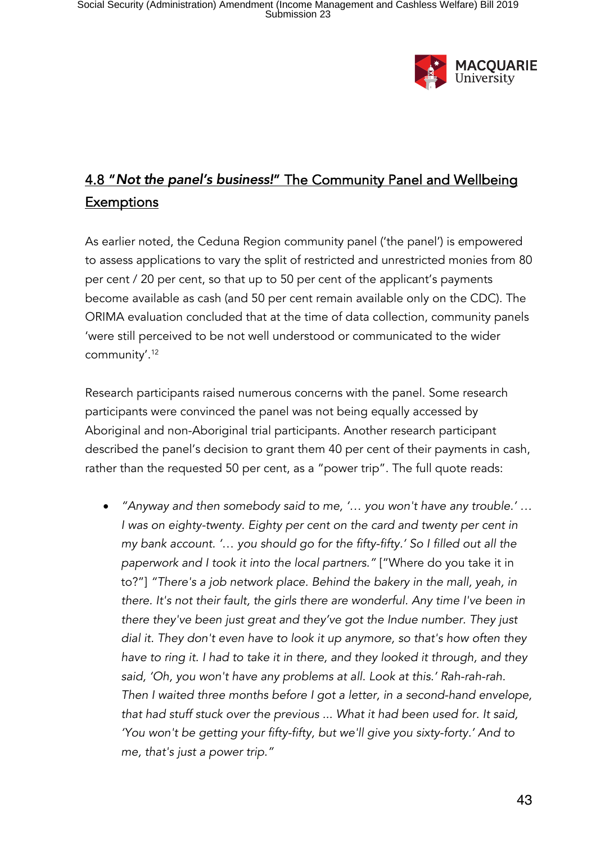

# 4.8 "*Not the panel's business!*" The Community Panel and Wellbeing **Exemptions**

As earlier noted, the Ceduna Region community panel ('the panel') is empowered to assess applications to vary the split of restricted and unrestricted monies from 80 per cent / 20 per cent, so that up to 50 per cent of the applicant's payments become available as cash (and 50 per cent remain available only on the CDC). The ORIMA evaluation concluded that at the time of data collection, community panels 'were still perceived to be not well understood or communicated to the wider community'.<sup>12</sup>

Research participants raised numerous concerns with the panel. Some research participants were convinced the panel was not being equally accessed by Aboriginal and non-Aboriginal trial participants. Another research participant described the panel's decision to grant them 40 per cent of their payments in cash, rather than the requested 50 per cent, as a "power trip". The full quote reads:

• *"Anyway and then somebody said to me, '… you won't have any trouble.' … I* was on eighty-twenty. Eighty per cent on the card and twenty per cent in *my bank account. '*… *you should go for the fifty-fifty.' So I filled out all the paperwork and I took it into the local partners."* ["Where do you take it in to?"] *"There's a job network place. Behind the bakery in the mall, yeah, in there. It's not their fault, the girls there are wonderful. Any time I've been in there they've been just great and they've got the Indue number. They just dial it. They don't even have to look it up anymore, so that's how often they have to ring it. I had to take it in there, and they looked it through, and they said, 'Oh, you won't have any problems at all. Look at this.' Rah-rah-rah. Then I waited three months before I got a letter, in a second-hand envelope, that had stuff stuck over the previous ... What it had been used for. It said, 'You won't be getting your fifty-fifty, but we'll give you sixty-forty.' And to me, that's just a power trip."*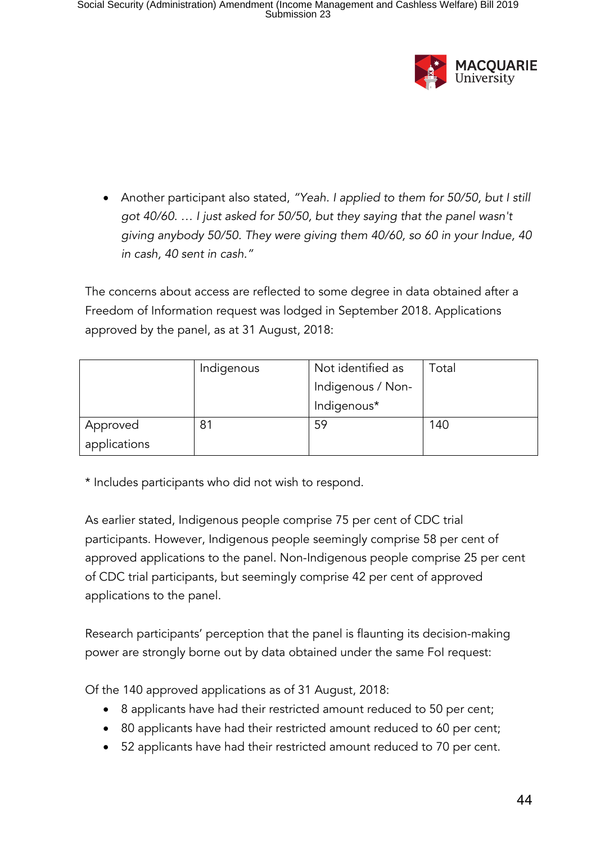

• Another participant also stated, *"Yeah. I applied to them for 50/50, but I still got 40/60. … I just asked for 50/50, but they saying that the panel wasn't giving anybody 50/50. They were giving them 40/60, so 60 in your Indue, 40 in cash, 40 sent in cash."*

The concerns about access are reflected to some degree in data obtained after a Freedom of Information request was lodged in September 2018. Applications approved by the panel, as at 31 August, 2018:

|              | Indigenous | Not identified as | Total |
|--------------|------------|-------------------|-------|
|              |            | Indigenous / Non- |       |
|              |            | Indigenous*       |       |
| Approved     | 81         | 59                | 140   |
| applications |            |                   |       |

\* Includes participants who did not wish to respond.

As earlier stated, Indigenous people comprise 75 per cent of CDC trial participants. However, Indigenous people seemingly comprise 58 per cent of approved applications to the panel. Non-Indigenous people comprise 25 per cent of CDC trial participants, but seemingly comprise 42 per cent of approved applications to the panel.

Research participants' perception that the panel is flaunting its decision-making power are strongly borne out by data obtained under the same FoI request:

Of the 140 approved applications as of 31 August, 2018:

- 8 applicants have had their restricted amount reduced to 50 per cent;
- 80 applicants have had their restricted amount reduced to 60 per cent;
- 52 applicants have had their restricted amount reduced to 70 per cent.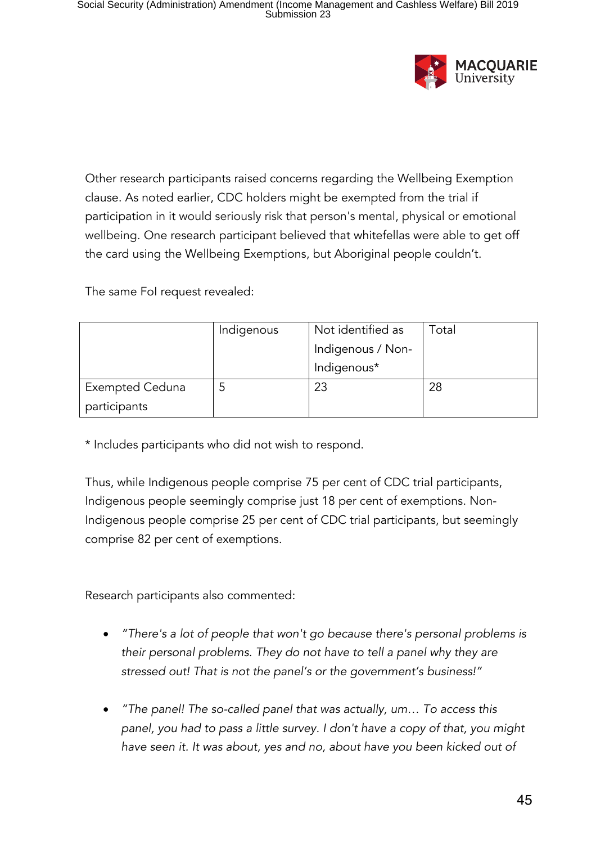

Other research participants raised concerns regarding the Wellbeing Exemption clause. As noted earlier, CDC holders might be exempted from the trial if participation in it would seriously risk that person's mental, physical or emotional wellbeing. One research participant believed that whitefellas were able to get off the card using the Wellbeing Exemptions, but Aboriginal people couldn't.

The same FoI request revealed:

|                        | Indigenous | Not identified as | Total |
|------------------------|------------|-------------------|-------|
|                        |            | Indigenous / Non- |       |
|                        |            | Indigenous*       |       |
| <b>Exempted Ceduna</b> |            | 23                | 28    |
| participants           |            |                   |       |

\* Includes participants who did not wish to respond.

Thus, while Indigenous people comprise 75 per cent of CDC trial participants, Indigenous people seemingly comprise just 18 per cent of exemptions. Non-Indigenous people comprise 25 per cent of CDC trial participants, but seemingly comprise 82 per cent of exemptions.

Research participants also commented:

- *"There's a lot of people that won't go because there's personal problems is their personal problems. They do not have to tell a panel why they are stressed out! That is not the panel's or the government's business!"*
- *"The panel! The so-called panel that was actually, um… To access this panel, you had to pass a little survey. I don't have a copy of that, you might have seen it. It was about, yes and no, about have you been kicked out of*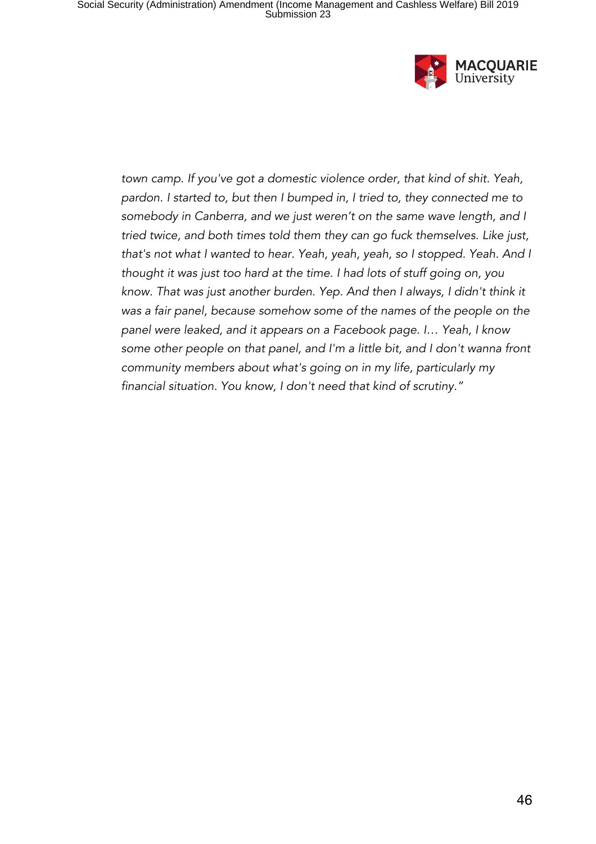

*town camp. If you've got a domestic violence order, that kind of shit. Yeah, pardon. I started to, but then I bumped in, I tried to, they connected me to somebody in Canberra, and we just weren't on the same wave length, and I tried twice, and both times told them they can go fuck themselves. Like just, that's not what I wanted to hear. Yeah, yeah, yeah, so I stopped. Yeah. And I thought it was just too hard at the time. I had lots of stuff going on, you know. That was just another burden. Yep. And then I always, I didn't think it was a fair panel, because somehow some of the names of the people on the panel were leaked, and it appears on a Facebook page. I… Yeah, I know some other people on that panel, and I'm a little bit, and I don't wanna front community members about what's going on in my life, particularly my financial situation. You know, I don't need that kind of scrutiny."*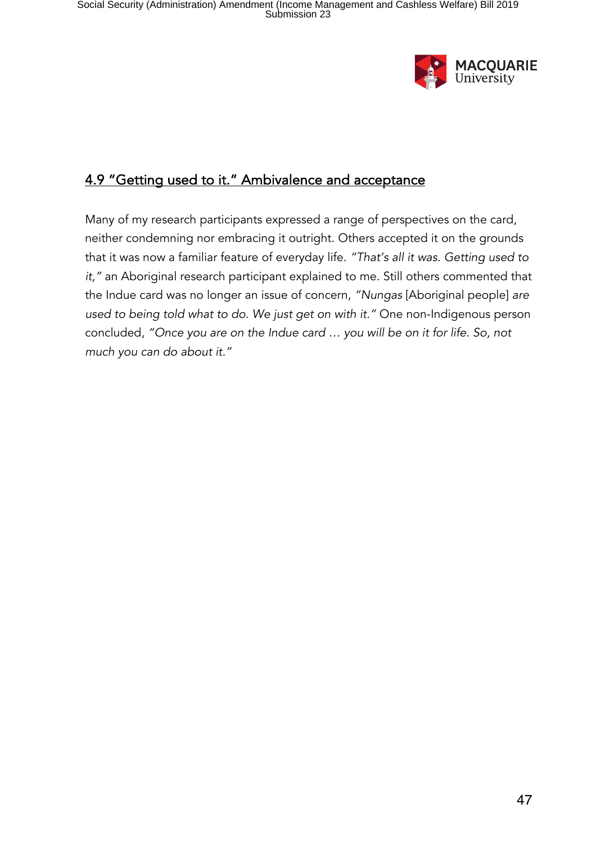

## 4.9 "Getting used to it." Ambivalence and acceptance

Many of my research participants expressed a range of perspectives on the card, neither condemning nor embracing it outright. Others accepted it on the grounds that it was now a familiar feature of everyday life. *"That's all it was. Getting used to it,"* an Aboriginal research participant explained to me. Still others commented that the Indue card was no longer an issue of concern, *"Nungas* [Aboriginal people] *are used to being told what to do. We just get on with it."* One non-Indigenous person concluded, *"Once you are on the Indue card … you will be on it for life. So, not much you can do about it."*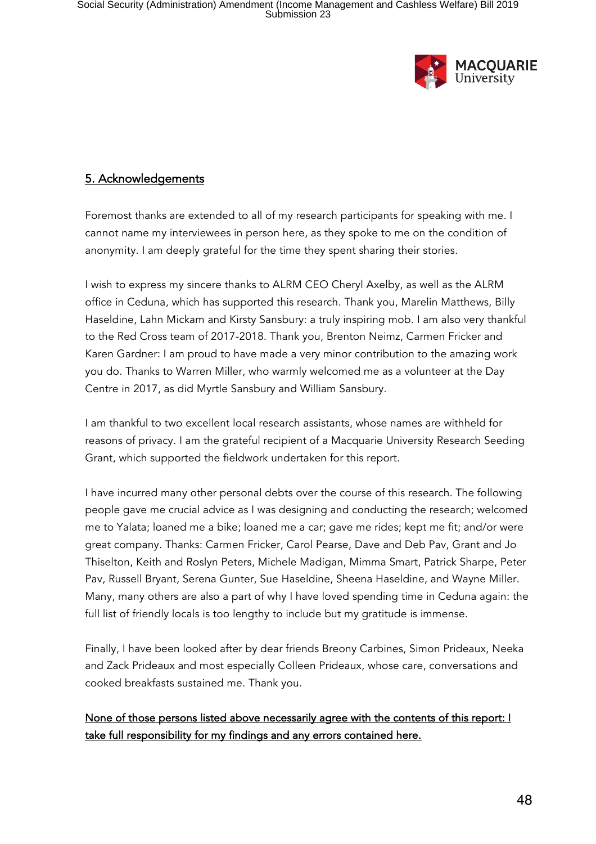

#### 5. Acknowledgements

Foremost thanks are extended to all of my research participants for speaking with me. I cannot name my interviewees in person here, as they spoke to me on the condition of anonymity. I am deeply grateful for the time they spent sharing their stories.

I wish to express my sincere thanks to ALRM CEO Cheryl Axelby, as well as the ALRM office in Ceduna, which has supported this research. Thank you, Marelin Matthews, Billy Haseldine, Lahn Mickam and Kirsty Sansbury: a truly inspiring mob. I am also very thankful to the Red Cross team of 2017-2018. Thank you, Brenton Neimz, Carmen Fricker and Karen Gardner: I am proud to have made a very minor contribution to the amazing work you do. Thanks to Warren Miller, who warmly welcomed me as a volunteer at the Day Centre in 2017, as did Myrtle Sansbury and William Sansbury.

I am thankful to two excellent local research assistants, whose names are withheld for reasons of privacy. I am the grateful recipient of a Macquarie University Research Seeding Grant, which supported the fieldwork undertaken for this report.

I have incurred many other personal debts over the course of this research. The following people gave me crucial advice as I was designing and conducting the research; welcomed me to Yalata; loaned me a bike; loaned me a car; gave me rides; kept me fit; and/or were great company. Thanks: Carmen Fricker, Carol Pearse, Dave and Deb Pav, Grant and Jo Thiselton, Keith and Roslyn Peters, Michele Madigan, Mimma Smart, Patrick Sharpe, Peter Pav, Russell Bryant, Serena Gunter, Sue Haseldine, Sheena Haseldine, and Wayne Miller. Many, many others are also a part of why I have loved spending time in Ceduna again: the full list of friendly locals is too lengthy to include but my gratitude is immense.

Finally, I have been looked after by dear friends Breony Carbines, Simon Prideaux, Neeka and Zack Prideaux and most especially Colleen Prideaux, whose care, conversations and cooked breakfasts sustained me. Thank you.

#### None of those persons listed above necessarily agree with the contents of this report: I take full responsibility for my findings and any errors contained here.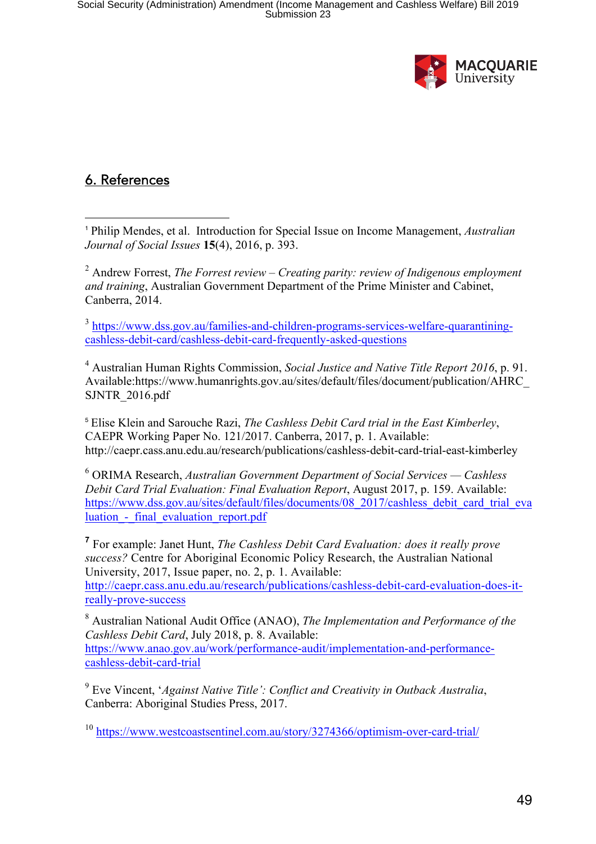

## 6. References

 $\overline{a}$ <sup>1</sup> Philip Mendes, et al. Introduction for Special Issue on Income Management, *Australian Journal of Social Issues* **15**(4), 2016, p. 393.

<sup>2</sup> Andrew Forrest, *The Forrest review – Creating parity: review of Indigenous employment and training*, Australian Government Department of the Prime Minister and Cabinet, Canberra, 2014.

<sup>3</sup> https://www.dss.gov.au/families-and-children-programs-services-welfare-quarantiningcashless-debit-card/cashless-debit-card-frequently-asked-questions

<sup>4</sup> Australian Human Rights Commission, *Social Justice and Native Title Report 2016*, p. 91. Available:https://www.humanrights.gov.au/sites/default/files/document/publication/AHRC\_ SJNTR\_2016.pdf

<sup>5</sup> Elise Klein and Sarouche Razi, *The Cashless Debit Card trial in the East Kimberley*, CAEPR Working Paper No. 121/2017. Canberra, 2017, p. 1. Available: http://caepr.cass.anu.edu.au/research/publications/cashless-debit-card-trial-east-kimberley

<sup>6</sup> ORIMA Research, *Australian Government Department of Social Services — Cashless Debit Card Trial Evaluation: Final Evaluation Report*, August 2017, p. 159. Available: https://www.dss.gov.au/sites/default/files/documents/08\_2017/cashless\_debit\_card\_trial\_eva luation - final evaluation report.pdf

**<sup>7</sup>** For example: Janet Hunt, *The Cashless Debit Card Evaluation: does it really prove success?* Centre for Aboriginal Economic Policy Research, the Australian National University, 2017, Issue paper, no. 2, p. 1. Available: http://caepr.cass.anu.edu.au/research/publications/cashless-debit-card-evaluation-does-itreally-prove-success

<sup>8</sup> Australian National Audit Office (ANAO), *The Implementation and Performance of the Cashless Debit Card*, July 2018, p. 8. Available: https://www.anao.gov.au/work/performance-audit/implementation-and-performancecashless-debit-card-trial

<sup>9</sup> Eve Vincent, '*Against Native Title': Conflict and Creativity in Outback Australia*, Canberra: Aboriginal Studies Press, 2017.

<sup>10</sup> https://www.westcoastsentinel.com.au/story/3274366/optimism-over-card-trial/